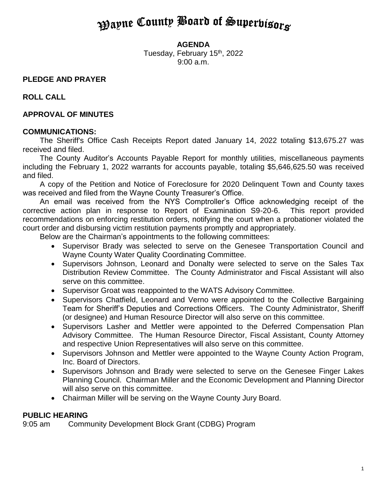# **Payne County Board of Superbisors**

#### **AGENDA**

Tuesday, February 15<sup>th</sup>, 2022 9:00 a.m.

# **PLEDGE AND PRAYER**

**ROLL CALL**

# **APPROVAL OF MINUTES**

# **COMMUNICATIONS:**

The Sheriff's Office Cash Receipts Report dated January 14, 2022 totaling \$13,675.27 was received and filed.

The County Auditor's Accounts Payable Report for monthly utilities, miscellaneous payments including the February 1, 2022 warrants for accounts payable, totaling \$5,646,625.50 was received and filed.

A copy of the Petition and Notice of Foreclosure for 2020 Delinquent Town and County taxes was received and filed from the Wayne County Treasurer's Office.

An email was received from the NYS Comptroller's Office acknowledging receipt of the corrective action plan in response to Report of Examination S9-20-6. This report provided recommendations on enforcing restitution orders, notifying the court when a probationer violated the court order and disbursing victim restitution payments promptly and appropriately.

Below are the Chairman's appointments to the following committees:

- Supervisor Brady was selected to serve on the Genesee Transportation Council and Wayne County Water Quality Coordinating Committee.
- Supervisors Johnson, Leonard and Donalty were selected to serve on the Sales Tax Distribution Review Committee. The County Administrator and Fiscal Assistant will also serve on this committee.
- Supervisor Groat was reappointed to the WATS Advisory Committee.
- Supervisors Chatfield, Leonard and Verno were appointed to the Collective Bargaining Team for Sheriff's Deputies and Corrections Officers. The County Administrator, Sheriff (or designee) and Human Resource Director will also serve on this committee.
- Supervisors Lasher and Mettler were appointed to the Deferred Compensation Plan Advisory Committee. The Human Resource Director, Fiscal Assistant, County Attorney and respective Union Representatives will also serve on this committee.
- Supervisors Johnson and Mettler were appointed to the Wayne County Action Program, Inc. Board of Directors.
- Supervisors Johnson and Brady were selected to serve on the Genesee Finger Lakes Planning Council. Chairman Miller and the Economic Development and Planning Director will also serve on this committee.
- Chairman Miller will be serving on the Wayne County Jury Board.

#### **PUBLIC HEARING**

9:05 am Community Development Block Grant (CDBG) Program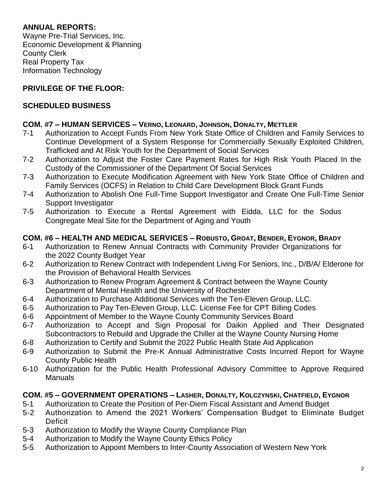# **ANNUAL REPORTS:**

Wayne Pre-Trial Services, Inc. Economic Development & Planning County Clerk Real Property Tax Information Technology

# **PRIVILEGE OF THE FLOOR:**

# **SCHEDULED BUSINESS**

# **COM. #7 – HUMAN SERVICES – VERNO, LEONARD, JOHNSON, DONALTY, METTLER**

- 7-1 Authorization to Accept Funds From New York State Office of Children and Family Services to Continue Development of a System Response for Commercially Sexually Exploited Children, Trafficked and At Risk Youth for the Department of Social Services
- 7-2 Authorization to Adjust the Foster Care Payment Rates for High Risk Youth Placed In the Custody of the Commissioner of the Department Of Social Services
- 7-3 Authorization to Execute Modification Agreement with New York State Office of Children and Family Services (OCFS) in Relation to Child Care Development Block Grant Funds
- 7-4 Authorization to Abolish One Full-Time Support Investigator and Create One Full-Time Senior Support Investigator
- 7-5 Authorization to Execute a Rental Agreement with Eidda, LLC for the Sodus Congregate Meal Site for the Department of Aging and Youth

# **COM. #6 – HEALTH AND MEDICAL SERVICES – ROBUSTO, GROAT, BENDER, EYGNOR, BRADY**

- 6-1 Authorization to Renew Annual Contracts with Community Provider Organizations for the 2022 County Budget Year
- 6-2 Authorization to Renew Contract with Independent Living For Seniors, Inc., D/B/A/ Elderone for the Provision of Behavioral Health Services
- 6-3 Authorization to Renew Program Agreement & Contract between the Wayne County Department of Mental Health and the University of Rochester
- 6-4 Authorization to Purchase Additional Services with the Ten-Eleven Group, LLC.
- 6-5 Authorization to Pay Ten-Eleven Group, LLC. License Fee for CPT Billing Codes
- 6-6 Appointment of Member to the Wayne County Community Services Board
- 6-7 Authorization to Accept and Sign Proposal for Daikin Applied and Their Designated Subcontractors to Rebuild and Upgrade the Chiller at the Wayne County Nursing Home
- 6-8 Authorization to Certify and Submit the 2022 Public Health State Aid Application
- 6-9 Authorization to Submit the Pre-K Annual Administrative Costs Incurred Report for Wayne County Public Health
- 6-10 Authorization for the Public Health Professional Advisory Committee to Approve Required Manuals

# **COM. #5 – GOVERNMENT OPERATIONS – LASHER, DONALTY, KOLCZYNSKI, CHATFIELD, EYGNOR**

- 5-1 Authorization to Create the Position of Per-Diem Fiscal Assistant and Amend Budget
- 5-2 Authorization to Amend the 2021 Workers' Compensation Budget to Eliminate Budget Deficit
- 5-3 Authorization to Modify the Wayne County Compliance Plan
- 5-4 Authorization to Modify the Wayne County Ethics Policy
- 5-5 Authorization to Appoint Members to Inter-County Association of Western New York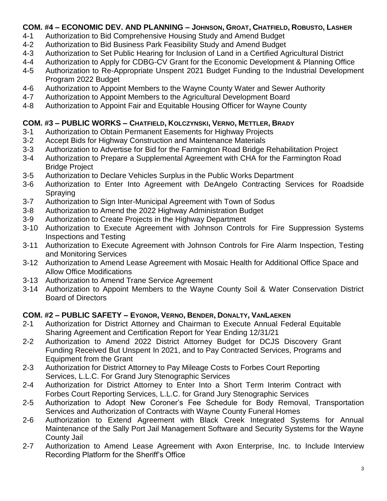# **COM. #4 – ECONOMIC DEV. AND PLANNING – JOHNSON, GROAT, CHATFIELD, ROBUSTO, LASHER**

- 4-1 Authorization to Bid Comprehensive Housing Study and Amend Budget
- 4-2 Authorization to Bid Business Park Feasibility Study and Amend Budget
- 4-3 Authorization to Set Public Hearing for Inclusion of Land in a Certified Agricultural District
- 4-4 Authorization to Apply for CDBG-CV Grant for the Economic Development & Planning Office
- 4-5 Authorization to Re-Appropriate Unspent 2021 Budget Funding to the Industrial Development Program 2022 Budget
- 4-6 Authorization to Appoint Members to the Wayne County Water and Sewer Authority
- 4-7 Authorization to Appoint Members to the Agricultural Development Board
- 4-8 Authorization to Appoint Fair and Equitable Housing Officer for Wayne County

# **COM. #3 – PUBLIC WORKS – CHATFIELD, KOLCZYNSKI, VERNO, METTLER, BRADY**

- 3-1 Authorization to Obtain Permanent Easements for Highway Projects
- 3-2 Accept Bids for Highway Construction and Maintenance Materials
- 3-3 Authorization to Advertise for Bid for the Farmington Road Bridge Rehabilitation Project
- 3-4 Authorization to Prepare a Supplemental Agreement with CHA for the Farmington Road Bridge Project
- 3-5 Authorization to Declare Vehicles Surplus in the Public Works Department
- 3-6 Authorization to Enter Into Agreement with DeAngelo Contracting Services for Roadside Spraying
- 3-7 Authorization to Sign Inter-Municipal Agreement with Town of Sodus
- 3-8 Authorization to Amend the 2022 Highway Administration Budget
- 3-9 Authorization to Create Projects in the Highway Department
- 3-10 Authorization to Execute Agreement with Johnson Controls for Fire Suppression Systems Inspections and Testing
- 3-11 Authorization to Execute Agreement with Johnson Controls for Fire Alarm Inspection, Testing and Monitoring Services
- 3-12 Authorization to Amend Lease Agreement with Mosaic Health for Additional Office Space and Allow Office Modifications
- 3-13 Authorization to Amend Trane Service Agreement
- 3-14 Authorization to Appoint Members to the Wayne County Soil & Water Conservation District Board of Directors

# **COM. #2 – PUBLIC SAFETY – EYGNOR, VERNO, BENDER, DONALTY, VANLAEKEN**

- 2-1 Authorization for District Attorney and Chairman to Execute Annual Federal Equitable Sharing Agreement and Certification Report for Year Ending 12/31/21
- 2-2 Authorization to Amend 2022 District Attorney Budget for DCJS Discovery Grant Funding Received But Unspent In 2021, and to Pay Contracted Services, Programs and Equipment from the Grant
- 2-3 Authorization for District Attorney to Pay Mileage Costs to Forbes Court Reporting Services, L.L.C. For Grand Jury Stenographic Services
- 2-4 Authorization for District Attorney to Enter Into a Short Term Interim Contract with Forbes Court Reporting Services, L.L.C. for Grand Jury Stenographic Services
- 2-5 Authorization to Adopt New Coroner's Fee Schedule for Body Removal, Transportation Services and Authorization of Contracts with Wayne County Funeral Homes
- 2-6 Authorization to Extend Agreement with Black Creek Integrated Systems for Annual Maintenance of the Sally Port Jail Management Software and Security Systems for the Wayne County Jail
- 2-7 Authorization to Amend Lease Agreement with Axon Enterprise, Inc. to Include Interview Recording Platform for the Sheriff's Office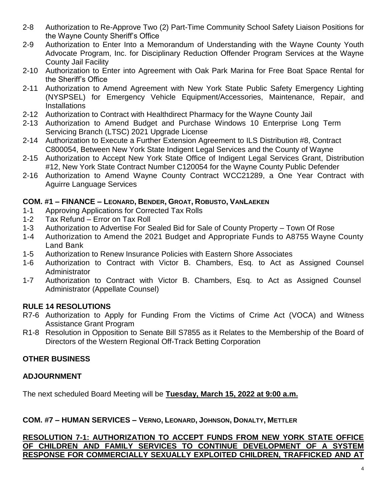- 2-8 Authorization to Re-Approve Two (2) Part-Time Community School Safety Liaison Positions for the Wayne County Sheriff's Office
- 2-9 Authorization to Enter Into a Memorandum of Understanding with the Wayne County Youth Advocate Program, Inc. for Disciplinary Reduction Offender Program Services at the Wayne County Jail Facility
- 2-10 Authorization to Enter into Agreement with Oak Park Marina for Free Boat Space Rental for the Sheriff's Office
- 2-11 Authorization to Amend Agreement with New York State Public Safety Emergency Lighting (NYSPSEL) for Emergency Vehicle Equipment/Accessories, Maintenance, Repair, and **Installations**
- 2-12 Authorization to Contract with Healthdirect Pharmacy for the Wayne County Jail
- 2-13 Authorization to Amend Budget and Purchase Windows 10 Enterprise Long Term Servicing Branch (LTSC) 2021 Upgrade License
- 2-14 Authorization to Execute a Further Extension Agreement to ILS Distribution #8, Contract C800054, Between New York State Indigent Legal Services and the County of Wayne
- 2-15 Authorization to Accept New York State Office of Indigent Legal Services Grant, Distribution #12, New York State Contract Number C120054 for the Wayne County Public Defender
- 2-16 Authorization to Amend Wayne County Contract WCC21289, a One Year Contract with Aguirre Language Services

# **COM. #1 – FINANCE – LEONARD, BENDER, GROAT, ROBUSTO, VANLAEKEN**

- 1-1 Approving Applications for Corrected Tax Rolls
- 1-2 Tax Refund Error on Tax Roll
- 1-3 Authorization to Advertise For Sealed Bid for Sale of County Property Town Of Rose
- 1-4 Authorization to Amend the 2021 Budget and Appropriate Funds to A8755 Wayne County Land Bank
- 1-5 Authorization to Renew Insurance Policies with Eastern Shore Associates
- 1-6 Authorization to Contract with Victor B. Chambers, Esq. to Act as Assigned Counsel **Administrator**
- 1-7 Authorization to Contract with Victor B. Chambers, Esq. to Act as Assigned Counsel Administrator (Appellate Counsel)

# **RULE 14 RESOLUTIONS**

- R7-6 Authorization to Apply for Funding From the Victims of Crime Act (VOCA) and Witness Assistance Grant Program
- R1-8 Resolution in Opposition to Senate Bill S7855 as it Relates to the Membership of the Board of Directors of the Western Regional Off-Track Betting Corporation

# **OTHER BUSINESS**

# **ADJOURNMENT**

The next scheduled Board Meeting will be **Tuesday, March 15, 2022 at 9:00 a.m.**

# **COM. #7 – HUMAN SERVICES – VERNO, LEONARD, JOHNSON, DONALTY, METTLER**

**RESOLUTION 7-1: AUTHORIZATION TO ACCEPT FUNDS FROM NEW YORK STATE OFFICE OF CHILDREN AND FAMILY SERVICES TO CONTINUE DEVELOPMENT OF A SYSTEM RESPONSE FOR COMMERCIALLY SEXUALLY EXPLOITED CHILDREN, TRAFFICKED AND AT**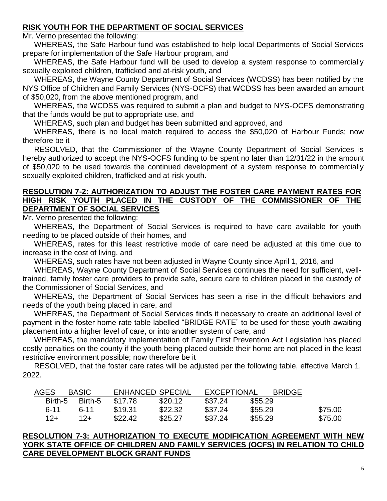# **RISK YOUTH FOR THE DEPARTMENT OF SOCIAL SERVICES**

Mr. Verno presented the following:

WHEREAS, the Safe Harbour fund was established to help local Departments of Social Services prepare for implementation of the Safe Harbour program, and

WHEREAS, the Safe Harbour fund will be used to develop a system response to commercially sexually exploited children, trafficked and at-risk youth, and

WHEREAS, the Wayne County Department of Social Services (WCDSS) has been notified by the NYS Office of Children and Family Services (NYS-OCFS) that WCDSS has been awarded an amount of \$50,020, from the above mentioned program, and

WHEREAS, the WCDSS was required to submit a plan and budget to NYS-OCFS demonstrating that the funds would be put to appropriate use, and

WHEREAS, such plan and budget has been submitted and approved, and

WHEREAS, there is no local match required to access the \$50,020 of Harbour Funds; now therefore be it

RESOLVED, that the Commissioner of the Wayne County Department of Social Services is hereby authorized to accept the NYS-OCFS funding to be spent no later than 12/31/22 in the amount of \$50,020 to be used towards the continued development of a system response to commercially sexually exploited children, trafficked and at-risk youth.

#### **RESOLUTION 7-2: AUTHORIZATION TO ADJUST THE FOSTER CARE PAYMENT RATES FOR HIGH RISK YOUTH PLACED IN THE CUSTODY OF THE COMMISSIONER OF THE DEPARTMENT OF SOCIAL SERVICES**

Mr. Verno presented the following:

WHEREAS, the Department of Social Services is required to have care available for youth needing to be placed outside of their homes, and

WHEREAS, rates for this least restrictive mode of care need be adjusted at this time due to increase in the cost of living, and

WHEREAS, such rates have not been adjusted in Wayne County since April 1, 2016, and

WHEREAS, Wayne County Department of Social Services continues the need for sufficient, welltrained, family foster care providers to provide safe, secure care to children placed in the custody of the Commissioner of Social Services, and

WHEREAS, the Department of Social Services has seen a rise in the difficult behaviors and needs of the youth being placed in care, and

WHEREAS, the Department of Social Services finds it necessary to create an additional level of payment in the foster home rate table labelled "BRIDGE RATE" to be used for those youth awaiting placement into a higher level of care, or into another system of care, and

WHEREAS, the mandatory implementation of Family First Prevention Act Legislation has placed costly penalties on the county if the youth being placed outside their home are not placed in the least restrictive environment possible; now therefore be it

RESOLVED, that the foster care rates will be adjusted per the following table, effective March 1, 2022.

| <b>AGES</b> | <b>BASIC</b> |         | <b>ENHANCED SPECIAL</b> | EXCEPTIONAL |         | <b>BRIDGE</b> |         |
|-------------|--------------|---------|-------------------------|-------------|---------|---------------|---------|
| Birth-5     | Birth-5      | \$17.78 | \$20.12                 | \$37.24     | \$55.29 |               |         |
| $6 - 11$    | $6 - 11$     | \$19.31 | \$22.32                 | \$37.24     | \$55.29 |               | \$75.00 |
| $12+$       | $12+$        | \$22.42 | \$25.27                 | \$37.24     | \$55.29 |               | \$75.00 |

# **RESOLUTION 7-3: AUTHORIZATION TO EXECUTE MODIFICATION AGREEMENT WITH NEW YORK STATE OFFICE OF CHILDREN AND FAMILY SERVICES (OCFS) IN RELATION TO CHILD CARE DEVELOPMENT BLOCK GRANT FUNDS**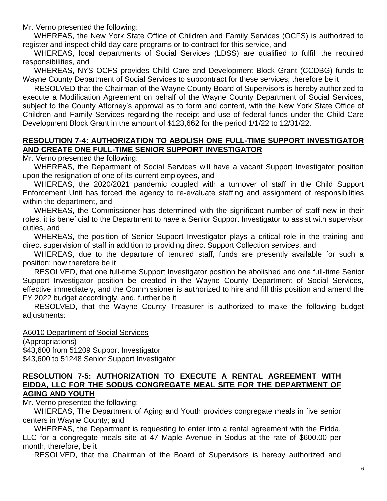Mr. Verno presented the following:

WHEREAS, the New York State Office of Children and Family Services (OCFS) is authorized to register and inspect child day care programs or to contract for this service, and

WHEREAS, local departments of Social Services (LDSS) are qualified to fulfill the required responsibilities, and

WHEREAS, NYS OCFS provides Child Care and Development Block Grant (CCDBG) funds to Wayne County Department of Social Services to subcontract for these services; therefore be it

RESOLVED that the Chairman of the Wayne County Board of Supervisors is hereby authorized to execute a Modification Agreement on behalf of the Wayne County Department of Social Services, subject to the County Attorney's approval as to form and content, with the New York State Office of Children and Family Services regarding the receipt and use of federal funds under the Child Care Development Block Grant in the amount of \$123,662 for the period 1/1/22 to 12/31/22.

#### **RESOLUTION 7-4: AUTHORIZATION TO ABOLISH ONE FULL-TIME SUPPORT INVESTIGATOR AND CREATE ONE FULL-TIME SENIOR SUPPORT INVESTIGATOR**

Mr. Verno presented the following:

WHEREAS, the Department of Social Services will have a vacant Support Investigator position upon the resignation of one of its current employees, and

WHEREAS, the 2020/2021 pandemic coupled with a turnover of staff in the Child Support Enforcement Unit has forced the agency to re-evaluate staffing and assignment of responsibilities within the department, and

WHEREAS, the Commissioner has determined with the significant number of staff new in their roles, it is beneficial to the Department to have a Senior Support Investigator to assist with supervisor duties, and

WHEREAS, the position of Senior Support Investigator plays a critical role in the training and direct supervision of staff in addition to providing direct Support Collection services, and

WHEREAS, due to the departure of tenured staff, funds are presently available for such a position; now therefore be it

RESOLVED, that one full-time Support Investigator position be abolished and one full-time Senior Support Investigator position be created in the Wayne County Department of Social Services, effective immediately, and the Commissioner is authorized to hire and fill this position and amend the FY 2022 budget accordingly, and, further be it

RESOLVED, that the Wayne County Treasurer is authorized to make the following budget adjustments:

A6010 Department of Social Services

(Appropriations) \$43,600 from 51209 Support Investigator \$43,600 to 51248 Senior Support Investigator

#### **RESOLUTION 7-5: AUTHORIZATION TO EXECUTE A RENTAL AGREEMENT WITH EIDDA, LLC FOR THE SODUS CONGREGATE MEAL SITE FOR THE DEPARTMENT OF AGING AND YOUTH**

Mr. Verno presented the following:

WHEREAS, The Department of Aging and Youth provides congregate meals in five senior centers in Wayne County; and

WHEREAS, the Department is requesting to enter into a rental agreement with the Eidda, LLC for a congregate meals site at 47 Maple Avenue in Sodus at the rate of \$600.00 per month, therefore, be it

RESOLVED, that the Chairman of the Board of Supervisors is hereby authorized and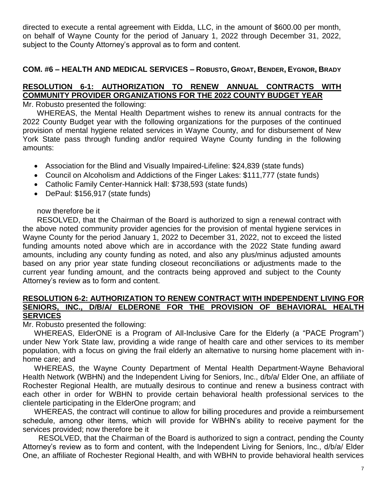directed to execute a rental agreement with Eidda, LLC, in the amount of \$600.00 per month, on behalf of Wayne County for the period of January 1, 2022 through December 31, 2022, subject to the County Attorney's approval as to form and content.

#### **COM. #6 – HEALTH AND MEDICAL SERVICES – ROBUSTO, GROAT, BENDER, EYGNOR, BRADY**

# **RESOLUTION 6-1: AUTHORIZATION TO RENEW ANNUAL CONTRACTS WITH COMMUNITY PROVIDER ORGANIZATIONS FOR THE 2022 COUNTY BUDGET YEAR**

Mr. Robusto presented the following:

WHEREAS, the Mental Health Department wishes to renew its annual contracts for the 2022 County Budget year with the following organizations for the purposes of the continued provision of mental hygiene related services in Wayne County, and for disbursement of New York State pass through funding and/or required Wayne County funding in the following amounts:

- Association for the Blind and Visually Impaired-Lifeline: \$24,839 (state funds)
- Council on Alcoholism and Addictions of the Finger Lakes: \$111,777 (state funds)
- Catholic Family Center-Hannick Hall: \$738,593 (state funds)
- DePaul: \$156,917 (state funds)

#### now therefore be it

RESOLVED, that the Chairman of the Board is authorized to sign a renewal contract with the above noted community provider agencies for the provision of mental hygiene services in Wayne County for the period January 1, 2022 to December 31, 2022, not to exceed the listed funding amounts noted above which are in accordance with the 2022 State funding award amounts, including any county funding as noted, and also any plus/minus adjusted amounts based on any prior year state funding closeout reconciliations or adjustments made to the current year funding amount, and the contracts being approved and subject to the County Attorney's review as to form and content.

#### **RESOLUTION 6-2: AUTHORIZATION TO RENEW CONTRACT WITH INDEPENDENT LIVING FOR SENIORS, INC., D/B/A/ ELDERONE FOR THE PROVISION OF BEHAVIORAL HEALTH SERVICES**

Mr. Robusto presented the following:

WHEREAS, ElderONE is a Program of All-Inclusive Care for the Elderly (a "PACE Program") under New York State law, providing a wide range of health care and other services to its member population, with a focus on giving the frail elderly an alternative to nursing home placement with inhome care; and

WHEREAS, the Wayne County Department of Mental Health Department-Wayne Behavioral Health Network (WBHN) and the Independent Living for Seniors, Inc., d/b/a/ Elder One, an affiliate of Rochester Regional Health, are mutually desirous to continue and renew a business contract with each other in order for WBHN to provide certain behavioral health professional services to the clientele participating in the ElderOne program; and

WHEREAS, the contract will continue to allow for billing procedures and provide a reimbursement schedule, among other items, which will provide for WBHN's ability to receive payment for the services provided; now therefore be it

 RESOLVED, that the Chairman of the Board is authorized to sign a contract, pending the County Attorney's review as to form and content, with the Independent Living for Seniors, Inc., d/b/a/ Elder One, an affiliate of Rochester Regional Health, and with WBHN to provide behavioral health services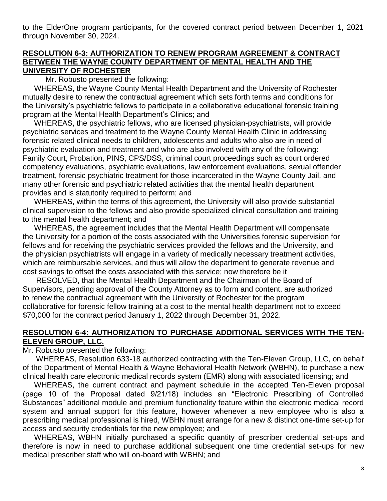to the ElderOne program participants, for the covered contract period between December 1, 2021 through November 30, 2024.

#### **RESOLUTION 6-3: AUTHORIZATION TO RENEW PROGRAM AGREEMENT & CONTRACT BETWEEN THE WAYNE COUNTY DEPARTMENT OF MENTAL HEALTH AND THE UNIVERSITY OF ROCHESTER**

Mr. Robusto presented the following:

WHEREAS, the Wayne County Mental Health Department and the University of Rochester mutually desire to renew the contractual agreement which sets forth terms and conditions for the University's psychiatric fellows to participate in a collaborative educational forensic training program at the Mental Health Department's Clinics; and

WHEREAS, the psychiatric fellows, who are licensed physician-psychiatrists, will provide psychiatric services and treatment to the Wayne County Mental Health Clinic in addressing forensic related clinical needs to children, adolescents and adults who also are in need of psychiatric evaluation and treatment and who are also involved with any of the following: Family Court, Probation, PINS, CPS/DSS, criminal court proceedings such as court ordered competency evaluations, psychiatric evaluations, law enforcement evaluations, sexual offender treatment, forensic psychiatric treatment for those incarcerated in the Wayne County Jail, and many other forensic and psychiatric related activities that the mental health department provides and is statutorily required to perform; and

WHEREAS, within the terms of this agreement, the University will also provide substantial clinical supervision to the fellows and also provide specialized clinical consultation and training to the mental health department; and

WHEREAS, the agreement includes that the Mental Health Department will compensate the University for a portion of the costs associated with the Universities forensic supervision for fellows and for receiving the psychiatric services provided the fellows and the University, and the physician psychiatrists will engage in a variety of medically necessary treatment activities, which are reimbursable services, and thus will allow the department to generate revenue and cost savings to offset the costs associated with this service; now therefore be it

RESOLVED, that the Mental Health Department and the Chairman of the Board of Supervisors, pending approval of the County Attorney as to form and content, are authorized to renew the contractual agreement with the University of Rochester for the program collaborative for forensic fellow training at a cost to the mental health department not to exceed \$70,000 for the contract period January 1, 2022 through December 31, 2022.

#### **RESOLUTION 6-4: AUTHORIZATION TO PURCHASE ADDITIONAL SERVICES WITH THE TEN-ELEVEN GROUP, LLC.**

Mr. Robusto presented the following:

WHEREAS, Resolution 633-18 authorized contracting with the Ten-Eleven Group, LLC, on behalf of the Department of Mental Health & Wayne Behavioral Health Network (WBHN), to purchase a new clinical health care electronic medical records system (EMR) along with associated licensing; and

WHEREAS, the current contract and payment schedule in the accepted Ten-Eleven proposal (page 10 of the Proposal dated 9/21/18) includes an "Electronic Prescribing of Controlled Substances" additional module and premium functionality feature within the electronic medical record system and annual support for this feature, however whenever a new employee who is also a prescribing medical professional is hired, WBHN must arrange for a new & distinct one-time set-up for access and security credentials for the new employee; and

WHEREAS, WBHN initially purchased a specific quantity of prescriber credential set-ups and therefore is now in need to purchase additional subsequent one time credential set-ups for new medical prescriber staff who will on-board with WBHN; and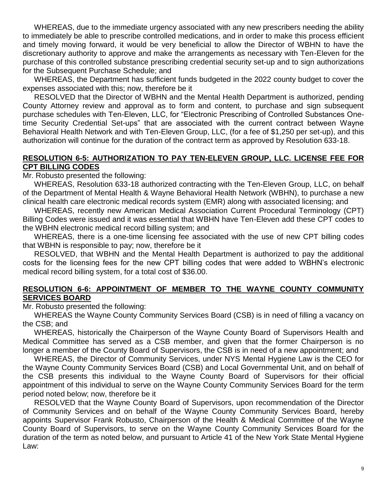WHEREAS, due to the immediate urgency associated with any new prescribers needing the ability to immediately be able to prescribe controlled medications, and in order to make this process efficient and timely moving forward, it would be very beneficial to allow the Director of WBHN to have the discretionary authority to approve and make the arrangements as necessary with Ten-Eleven for the purchase of this controlled substance prescribing credential security set-up and to sign authorizations for the Subsequent Purchase Schedule; and

WHEREAS, the Department has sufficient funds budgeted in the 2022 county budget to cover the expenses associated with this; now, therefore be it

RESOLVED that the Director of WBHN and the Mental Health Department is authorized, pending County Attorney review and approval as to form and content, to purchase and sign subsequent purchase schedules with Ten-Eleven, LLC, for "Electronic Prescribing of Controlled Substances Onetime Security Credential Set-ups" that are associated with the current contract between Wayne Behavioral Health Network and with Ten-Eleven Group, LLC, (for a fee of \$1,250 per set-up), and this authorization will continue for the duration of the contract term as approved by Resolution 633-18.

#### **RESOLUTION 6-5: AUTHORIZATION TO PAY TEN-ELEVEN GROUP, LLC. LICENSE FEE FOR CPT BILLING CODES**

Mr. Robusto presented the following:

WHEREAS, Resolution 633-18 authorized contracting with the Ten-Eleven Group, LLC, on behalf of the Department of Mental Health & Wayne Behavioral Health Network (WBHN), to purchase a new clinical health care electronic medical records system (EMR) along with associated licensing; and

WHEREAS, recently new American Medical Association Current Procedural Terminology (CPT) Billing Codes were issued and it was essential that WBHN have Ten-Eleven add these CPT codes to the WBHN electronic medical record billing system; and

WHEREAS, there is a one-time licensing fee associated with the use of new CPT billing codes that WBHN is responsible to pay; now, therefore be it

RESOLVED, that WBHN and the Mental Health Department is authorized to pay the additional costs for the licensing fees for the new CPT billing codes that were added to WBHN's electronic medical record billing system, for a total cost of \$36.00.

#### **RESOLUTION 6-6: APPOINTMENT OF MEMBER TO THE WAYNE COUNTY COMMUNITY SERVICES BOARD**

Mr. Robusto presented the following:

WHEREAS the Wayne County Community Services Board (CSB) is in need of filling a vacancy on the CSB; and

WHEREAS, historically the Chairperson of the Wayne County Board of Supervisors Health and Medical Committee has served as a CSB member, and given that the former Chairperson is no longer a member of the County Board of Supervisors, the CSB is in need of a new appointment; and

WHEREAS, the Director of Community Services, under NYS Mental Hygiene Law is the CEO for the Wayne County Community Services Board (CSB) and Local Governmental Unit, and on behalf of the CSB presents this individual to the Wayne County Board of Supervisors for their official appointment of this individual to serve on the Wayne County Community Services Board for the term period noted below; now, therefore be it

RESOLVED that the Wayne County Board of Supervisors, upon recommendation of the Director of Community Services and on behalf of the Wayne County Community Services Board, hereby appoints Supervisor Frank Robusto, Chairperson of the Health & Medical Committee of the Wayne County Board of Supervisors, to serve on the Wayne County Community Services Board for the duration of the term as noted below, and pursuant to Article 41 of the New York State Mental Hygiene Law: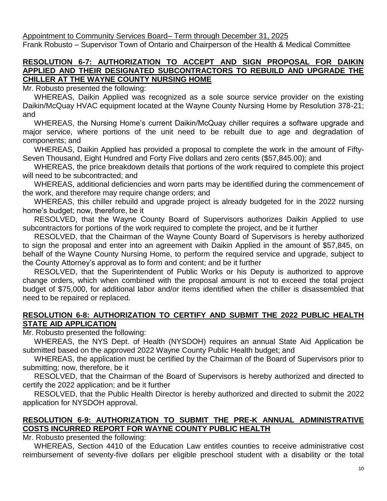Appointment to Community Services Board– Term through December 31, 2025

Frank Robusto – Supervisor Town of Ontario and Chairperson of the Health & Medical Committee

#### **RESOLUTION 6-7: AUTHORIZATION TO ACCEPT AND SIGN PROPOSAL FOR DAIKIN APPLIED AND THEIR DESIGNATED SUBCONTRACTORS TO REBUILD AND UPGRADE THE CHILLER AT THE WAYNE COUNTY NURSING HOME**

Mr. Robusto presented the following:

WHEREAS, Daikin Applied was recognized as a sole source service provider on the existing Daikin/McQuay HVAC equipment located at the Wayne County Nursing Home by Resolution 378-21; and

WHEREAS, the Nursing Home's current Daikin/McQuay chiller requires a software upgrade and major service, where portions of the unit need to be rebuilt due to age and degradation of components; and

WHEREAS, Daikin Applied has provided a proposal to complete the work in the amount of Fifty-Seven Thousand, Eight Hundred and Forty Five dollars and zero cents (\$57,845.00); and

WHEREAS, the price breakdown details that portions of the work required to complete this project will need to be subcontracted; and

WHEREAS, additional deficiencies and worn parts may be identified during the commencement of the work, and therefore may require change orders; and

WHEREAS, this chiller rebuild and upgrade project is already budgeted for in the 2022 nursing home's budget; now, therefore, be it

RESOLVED, that the Wayne County Board of Supervisors authorizes Daikin Applied to use subcontractors for portions of the work required to complete the project, and be it further

RESOLVED, that the Chairman of the Wayne County Board of Supervisors is hereby authorized to sign the proposal and enter into an agreement with Daikin Applied in the amount of \$57,845, on behalf of the Wayne County Nursing Home, to perform the required service and upgrade, subject to the County Attorney's approval as to form and content; and be it further

RESOLVED, that the Superintendent of Public Works or his Deputy is authorized to approve change orders, which when combined with the proposal amount is not to exceed the total project budget of \$75,000, for additional labor and/or items identified when the chiller is disassembled that need to be repaired or replaced.

# **RESOLUTION 6-8: AUTHORIZATION TO CERTIFY AND SUBMIT THE 2022 PUBLIC HEALTH STATE AID APPLICATION**

Mr. Robusto presented the following:

WHEREAS, the NYS Dept. of Health (NYSDOH) requires an annual State Aid Application be submitted based on the approved 2022 Wayne County Public Health budget; and

WHEREAS, the application must be certified by the Chairman of the Board of Supervisors prior to submitting; now, therefore, be it

RESOLVED, that the Chairman of the Board of Supervisors is hereby authorized and directed to certify the 2022 application; and be it further

RESOLVED, that the Public Health Director is hereby authorized and directed to submit the 2022 application for NYSDOH approval.

# **RESOLUTION 6-9: AUTHORIZATION TO SUBMIT THE PRE-K ANNUAL ADMINISTRATIVE COSTS INCURRED REPORT FOR WAYNE COUNTY PUBLIC HEALTH**

Mr. Robusto presented the following:

WHEREAS, Section 4410 of the Education Law entitles counties to receive administrative cost reimbursement of seventy-five dollars per eligible preschool student with a disability or the total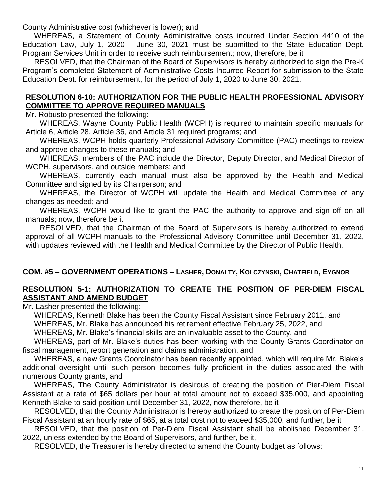County Administrative cost (whichever is lower); and

WHEREAS, a Statement of County Administrative costs incurred Under Section 4410 of the Education Law, July 1, 2020 – June 30, 2021 must be submitted to the State Education Dept. Program Services Unit in order to receive such reimbursement; now, therefore, be it

RESOLVED, that the Chairman of the Board of Supervisors is hereby authorized to sign the Pre-K Program's completed Statement of Administrative Costs Incurred Report for submission to the State Education Dept. for reimbursement, for the period of July 1, 2020 to June 30, 2021.

#### **RESOLUTION 6-10: AUTHORIZATION FOR THE PUBLIC HEALTH PROFESSIONAL ADVISORY COMMITTEE TO APPROVE REQUIRED MANUALS**

Mr. Robusto presented the following:

WHEREAS, Wayne County Public Health (WCPH) is required to maintain specific manuals for Article 6, Article 28, Article 36, and Article 31 required programs; and

WHEREAS, WCPH holds quarterly Professional Advisory Committee (PAC) meetings to review and approve changes to these manuals; and

WHEREAS, members of the PAC include the Director, Deputy Director, and Medical Director of WCPH, supervisors, and outside members; and

WHEREAS, currently each manual must also be approved by the Health and Medical Committee and signed by its Chairperson; and

WHEREAS, the Director of WCPH will update the Health and Medical Committee of any changes as needed; and

WHEREAS, WCPH would like to grant the PAC the authority to approve and sign-off on all manuals; now, therefore be it

RESOLVED, that the Chairman of the Board of Supervisors is hereby authorized to extend approval of all WCPH manuals to the Professional Advisory Committee until December 31, 2022, with updates reviewed with the Health and Medical Committee by the Director of Public Health.

# **COM. #5 – GOVERNMENT OPERATIONS – LASHER, DONALTY, KOLCZYNSKI, CHATFIELD, EYGNOR**

#### **RESOLUTION 5-1: AUTHORIZATION TO CREATE THE POSITION OF PER-DIEM FISCAL ASSISTANT AND AMEND BUDGET**

Mr. Lasher presented the following:

WHEREAS, Kenneth Blake has been the County Fiscal Assistant since February 2011, and

WHEREAS, Mr. Blake has announced his retirement effective February 25, 2022, and

WHEREAS, Mr. Blake's financial skills are an invaluable asset to the County, and

WHEREAS, part of Mr. Blake's duties has been working with the County Grants Coordinator on fiscal management, report generation and claims administration, and

WHEREAS, a new Grants Coordinator has been recently appointed, which will require Mr. Blake's additional oversight until such person becomes fully proficient in the duties associated the with numerous County grants, and

WHEREAS, The County Administrator is desirous of creating the position of Pier-Diem Fiscal Assistant at a rate of \$65 dollars per hour at total amount not to exceed \$35,000, and appointing Kenneth Blake to said position until December 31, 2022, now therefore, be it

RESOLVED, that the County Administrator is hereby authorized to create the position of Per-Diem Fiscal Assistant at an hourly rate of \$65, at a total cost not to exceed \$35,000, and further, be it

RESOLVED, that the position of Per-Diem Fiscal Assistant shall be abolished December 31, 2022, unless extended by the Board of Supervisors, and further, be it,

RESOLVED, the Treasurer is hereby directed to amend the County budget as follows: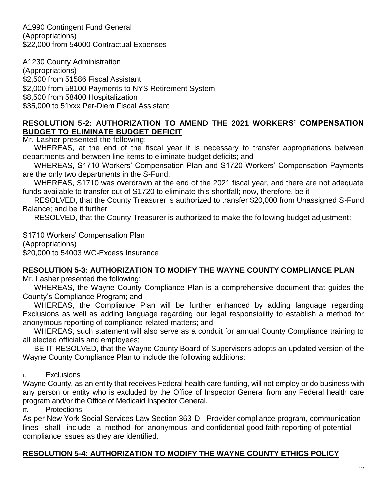A1990 Contingent Fund General (Appropriations) \$22,000 from 54000 Contractual Expenses

A1230 County Administration (Appropriations) \$2,500 from 51586 Fiscal Assistant \$2,000 from 58100 Payments to NYS Retirement System \$8,500 from 58400 Hospitalization \$35,000 to 51xxx Per-Diem Fiscal Assistant

# **RESOLUTION 5-2: AUTHORIZATION TO AMEND THE 2021 WORKERS' COMPENSATION BUDGET TO ELIMINATE BUDGET DEFICIT**

Mr. Lasher presented the following:

WHEREAS, at the end of the fiscal year it is necessary to transfer appropriations between departments and between line items to eliminate budget deficits; and

WHEREAS, S1710 Workers' Compensation Plan and S1720 Workers' Compensation Payments are the only two departments in the S-Fund;

WHEREAS, S1710 was overdrawn at the end of the 2021 fiscal year, and there are not adequate funds available to transfer out of S1720 to eliminate this shortfall; now, therefore, be it

RESOLVED, that the County Treasurer is authorized to transfer \$20,000 from Unassigned S-Fund Balance; and be it further

RESOLVED, that the County Treasurer is authorized to make the following budget adjustment:

#### S1710 Workers' Compensation Plan

(Appropriations) \$20,000 to 54003 WC-Excess Insurance

#### **RESOLUTION 5-3: AUTHORIZATION TO MODIFY THE WAYNE COUNTY COMPLIANCE PLAN**

Mr. Lasher presented the following:

WHEREAS, the Wayne County Compliance Plan is a comprehensive document that guides the County's Compliance Program; and

WHEREAS, the Compliance Plan will be further enhanced by adding language regarding Exclusions as well as adding language regarding our legal responsibility to establish a method for anonymous reporting of compliance-related matters; and

WHEREAS, such statement will also serve as a conduit for annual County Compliance training to all elected officials and employees;

BE IT RESOLVED, that the Wayne County Board of Supervisors adopts an updated version of the Wayne County Compliance Plan to include the following additions:

**I.** Exclusions

Wayne County, as an entity that receives Federal health care funding, will not employ or do business with any person or entity who is excluded by the Office of Inspector General from any Federal health care program and/or the Office of Medicaid Inspector General.

**II.** Protections

As per New York Social Services Law Section 363-D - Provider compliance program, communication lines shall include a method for anonymous and confidential good faith reporting of potential compliance issues as they are identified.

# **RESOLUTION 5-4: AUTHORIZATION TO MODIFY THE WAYNE COUNTY ETHICS POLICY**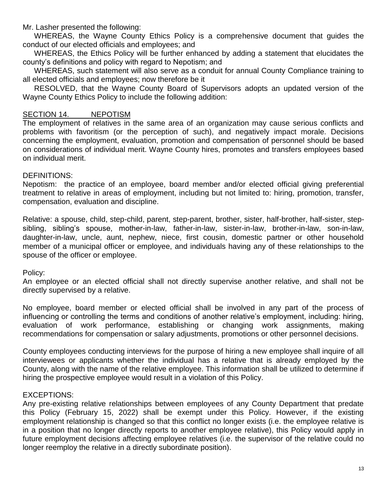Mr. Lasher presented the following:

WHEREAS, the Wayne County Ethics Policy is a comprehensive document that guides the conduct of our elected officials and employees; and

WHEREAS, the Ethics Policy will be further enhanced by adding a statement that elucidates the county's definitions and policy with regard to Nepotism; and

WHEREAS, such statement will also serve as a conduit for annual County Compliance training to all elected officials and employees; now therefore be it

RESOLVED, that the Wayne County Board of Supervisors adopts an updated version of the Wayne County Ethics Policy to include the following addition:

# SECTION 14. NEPOTISM

The employment of relatives in the same area of an organization may cause serious conflicts and problems with favoritism (or the perception of such), and negatively impact morale. Decisions concerning the employment, evaluation, promotion and compensation of personnel should be based on considerations of individual merit. Wayne County hires, promotes and transfers employees based on individual merit.

# DEFINITIONS:

Nepotism: the practice of an employee, board member and/or elected official giving preferential treatment to relative in areas of employment, including but not limited to: hiring, promotion, transfer, compensation, evaluation and discipline.

Relative: a spouse, child, step-child, parent, step-parent, brother, sister, half-brother, half-sister, stepsibling, sibling's spouse, mother-in-law, father-in-law, sister-in-law, brother-in-law, son-in-law, daughter-in-law, uncle, aunt, nephew, niece, first cousin, domestic partner or other household member of a municipal officer or employee, and individuals having any of these relationships to the spouse of the officer or employee.

#### Policy:

An employee or an elected official shall not directly supervise another relative, and shall not be directly supervised by a relative.

No employee, board member or elected official shall be involved in any part of the process of influencing or controlling the terms and conditions of another relative's employment, including: hiring, evaluation of work performance, establishing or changing work assignments, making recommendations for compensation or salary adjustments, promotions or other personnel decisions.

County employees conducting interviews for the purpose of hiring a new employee shall inquire of all interviewees or applicants whether the individual has a relative that is already employed by the County, along with the name of the relative employee. This information shall be utilized to determine if hiring the prospective employee would result in a violation of this Policy.

# EXCEPTIONS:

Any pre-existing relative relationships between employees of any County Department that predate this Policy (February 15, 2022) shall be exempt under this Policy. However, if the existing employment relationship is changed so that this conflict no longer exists (i.e. the employee relative is in a position that no longer directly reports to another employee relative), this Policy would apply in future employment decisions affecting employee relatives (i.e. the supervisor of the relative could no longer reemploy the relative in a directly subordinate position).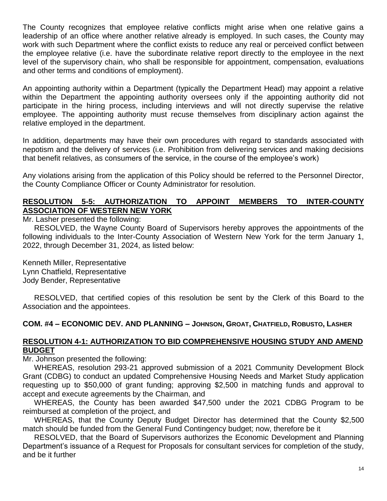The County recognizes that employee relative conflicts might arise when one relative gains a leadership of an office where another relative already is employed. In such cases, the County may work with such Department where the conflict exists to reduce any real or perceived conflict between the employee relative (i.e. have the subordinate relative report directly to the employee in the next level of the supervisory chain, who shall be responsible for appointment, compensation, evaluations and other terms and conditions of employment).

An appointing authority within a Department (typically the Department Head) may appoint a relative within the Department the appointing authority oversees only if the appointing authority did not participate in the hiring process, including interviews and will not directly supervise the relative employee. The appointing authority must recuse themselves from disciplinary action against the relative employed in the department.

In addition, departments may have their own procedures with regard to standards associated with nepotism and the delivery of services (i.e. Prohibition from delivering services and making decisions that benefit relatives, as consumers of the service, in the course of the employee's work)

Any violations arising from the application of this Policy should be referred to the Personnel Director, the County Compliance Officer or County Administrator for resolution.

# **RESOLUTION 5-5: AUTHORIZATION TO APPOINT MEMBERS TO INTER-COUNTY ASSOCIATION OF WESTERN NEW YORK**

Mr. Lasher presented the following:

RESOLVED, the Wayne County Board of Supervisors hereby approves the appointments of the following individuals to the Inter-County Association of Western New York for the term January 1, 2022, through December 31, 2024, as listed below:

Kenneth Miller, Representative Lynn Chatfield, Representative Jody Bender, Representative

RESOLVED, that certified copies of this resolution be sent by the Clerk of this Board to the Association and the appointees.

# **COM. #4 – ECONOMIC DEV. AND PLANNING – JOHNSON, GROAT, CHATFIELD, ROBUSTO, LASHER**

#### **RESOLUTION 4-1: AUTHORIZATION TO BID COMPREHENSIVE HOUSING STUDY AND AMEND BUDGET**

Mr. Johnson presented the following:

WHEREAS, resolution 293-21 approved submission of a 2021 Community Development Block Grant (CDBG) to conduct an updated Comprehensive Housing Needs and Market Study application requesting up to \$50,000 of grant funding; approving \$2,500 in matching funds and approval to accept and execute agreements by the Chairman, and

WHEREAS, the County has been awarded \$47,500 under the 2021 CDBG Program to be reimbursed at completion of the project, and

WHEREAS, that the County Deputy Budget Director has determined that the County \$2,500 match should be funded from the General Fund Contingency budget; now, therefore be it

RESOLVED, that the Board of Supervisors authorizes the Economic Development and Planning Department's issuance of a Request for Proposals for consultant services for completion of the study, and be it further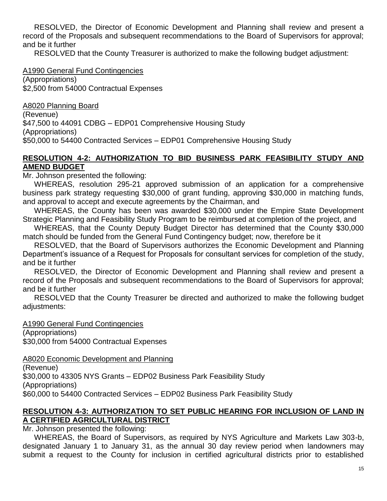RESOLVED, the Director of Economic Development and Planning shall review and present a record of the Proposals and subsequent recommendations to the Board of Supervisors for approval; and be it further

RESOLVED that the County Treasurer is authorized to make the following budget adjustment:

A1990 General Fund Contingencies

(Appropriations) \$2,500 from 54000 Contractual Expenses

A8020 Planning Board (Revenue) \$47,500 to 44091 CDBG – EDP01 Comprehensive Housing Study (Appropriations) \$50,000 to 54400 Contracted Services – EDP01 Comprehensive Housing Study

# **RESOLUTION 4-2: AUTHORIZATION TO BID BUSINESS PARK FEASIBILITY STUDY AND AMEND BUDGET**

Mr. Johnson presented the following:

WHEREAS, resolution 295-21 approved submission of an application for a comprehensive business park strategy requesting \$30,000 of grant funding, approving \$30,000 in matching funds, and approval to accept and execute agreements by the Chairman, and

WHEREAS, the County has been was awarded \$30,000 under the Empire State Development Strategic Planning and Feasibility Study Program to be reimbursed at completion of the project, and

WHEREAS, that the County Deputy Budget Director has determined that the County \$30,000 match should be funded from the General Fund Contingency budget; now, therefore be it

RESOLVED, that the Board of Supervisors authorizes the Economic Development and Planning Department's issuance of a Request for Proposals for consultant services for completion of the study, and be it further

RESOLVED, the Director of Economic Development and Planning shall review and present a record of the Proposals and subsequent recommendations to the Board of Supervisors for approval; and be it further

RESOLVED that the County Treasurer be directed and authorized to make the following budget adjustments:

A1990 General Fund Contingencies (Appropriations) \$30,000 from 54000 Contractual Expenses

A8020 Economic Development and Planning

(Revenue) \$30,000 to 43305 NYS Grants – EDP02 Business Park Feasibility Study (Appropriations) \$60,000 to 54400 Contracted Services – EDP02 Business Park Feasibility Study

# **RESOLUTION 4-3: AUTHORIZATION TO SET PUBLIC HEARING FOR INCLUSION OF LAND IN A CERTIFIED AGRICULTURAL DISTRICT**

Mr. Johnson presented the following:

WHEREAS, the Board of Supervisors, as required by NYS Agriculture and Markets Law 303-b, designated January 1 to January 31, as the annual 30 day review period when landowners may submit a request to the County for inclusion in certified agricultural districts prior to established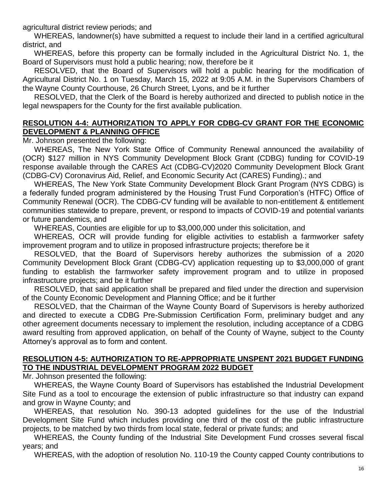agricultural district review periods; and

WHEREAS, landowner(s) have submitted a request to include their land in a certified agricultural district, and

WHEREAS, before this property can be formally included in the Agricultural District No. 1, the Board of Supervisors must hold a public hearing; now, therefore be it

RESOLVED, that the Board of Supervisors will hold a public hearing for the modification of Agricultural District No. 1 on Tuesday, March 15, 2022 at 9:05 A.M. in the Supervisors Chambers of the Wayne County Courthouse, 26 Church Street, Lyons, and be it further

RESOLVED, that the Clerk of the Board is hereby authorized and directed to publish notice in the legal newspapers for the County for the first available publication.

# **RESOLUTION 4-4: AUTHORIZATION TO APPLY FOR CDBG-CV GRANT FOR THE ECONOMIC DEVELOPMENT & PLANNING OFFICE**

Mr. Johnson presented the following:

WHEREAS, The New York State Office of Community Renewal announced the availability of (OCR) \$127 million in NYS Community Development Block Grant (CDBG) funding for COVID-19 response available through the CARES Act (CDBG-CV)2020 Community Development Block Grant (CDBG-CV) Coronavirus Aid, Relief, and Economic Security Act (CARES) Funding).; and

WHEREAS, The New York State Community Development Block Grant Program (NYS CDBG) is a federally funded program administered by the Housing Trust Fund Corporation's (HTFC) Office of Community Renewal (OCR). The CDBG-CV funding will be available to non-entitlement & entitlement communities statewide to prepare, prevent, or respond to impacts of COVID-19 and potential variants or future pandemics, and

WHEREAS, Counties are eligible for up to \$3,000,000 under this solicitation, and

WHEREAS, OCR will provide funding for eligible activities to establish a farmworker safety improvement program and to utilize in proposed infrastructure projects; therefore be it

RESOLVED, that the Board of Supervisors hereby authorizes the submission of a 2020 Community Development Block Grant (CDBG-CV) application requesting up to \$3,000,000 of grant funding to establish the farmworker safety improvement program and to utilize in proposed infrastructure projects; and be it further

RESOLVED, that said application shall be prepared and filed under the direction and supervision of the County Economic Development and Planning Office; and be it further

RESOLVED, that the Chairman of the Wayne County Board of Supervisors is hereby authorized and directed to execute a CDBG Pre-Submission Certification Form, preliminary budget and any other agreement documents necessary to implement the resolution, including acceptance of a CDBG award resulting from approved application, on behalf of the County of Wayne, subject to the County Attorney's approval as to form and content.

# **RESOLUTION 4-5: AUTHORIZATION TO RE-APPROPRIATE UNSPENT 2021 BUDGET FUNDING TO THE INDUSTRIAL DEVELOPMENT PROGRAM 2022 BUDGET**

Mr. Johnson presented the following:

WHEREAS, the Wayne County Board of Supervisors has established the Industrial Development Site Fund as a tool to encourage the extension of public infrastructure so that industry can expand and grow in Wayne County; and

WHEREAS, that resolution No. 390-13 adopted guidelines for the use of the Industrial Development Site Fund which includes providing one third of the cost of the public infrastructure projects, to be matched by two thirds from local state, federal or private funds; and

WHEREAS, the County funding of the Industrial Site Development Fund crosses several fiscal years; and

WHEREAS, with the adoption of resolution No. 110-19 the County capped County contributions to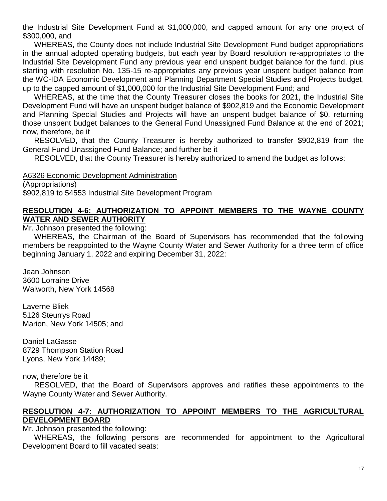the Industrial Site Development Fund at \$1,000,000, and capped amount for any one project of \$300,000, and

WHEREAS, the County does not include Industrial Site Development Fund budget appropriations in the annual adopted operating budgets, but each year by Board resolution re-appropriates to the Industrial Site Development Fund any previous year end unspent budget balance for the fund, plus starting with resolution No. 135-15 re-appropriates any previous year unspent budget balance from the WC-IDA Economic Development and Planning Department Special Studies and Projects budget, up to the capped amount of \$1,000,000 for the Industrial Site Development Fund; and

WHEREAS, at the time that the County Treasurer closes the books for 2021, the Industrial Site Development Fund will have an unspent budget balance of \$902,819 and the Economic Development and Planning Special Studies and Projects will have an unspent budget balance of \$0, returning those unspent budget balances to the General Fund Unassigned Fund Balance at the end of 2021; now, therefore, be it

RESOLVED, that the County Treasurer is hereby authorized to transfer \$902,819 from the General Fund Unassigned Fund Balance; and further be it

RESOLVED, that the County Treasurer is hereby authorized to amend the budget as follows:

A6326 Economic Development Administration (Appropriations) \$902,819 to 54553 Industrial Site Development Program

# **RESOLUTION 4-6: AUTHORIZATION TO APPOINT MEMBERS TO THE WAYNE COUNTY WATER AND SEWER AUTHORITY**

Mr. Johnson presented the following:

WHEREAS, the Chairman of the Board of Supervisors has recommended that the following members be reappointed to the Wayne County Water and Sewer Authority for a three term of office beginning January 1, 2022 and expiring December 31, 2022:

Jean Johnson 3600 Lorraine Drive Walworth, New York 14568

Laverne Bliek 5126 Steurrys Road Marion, New York 14505; and

Daniel LaGasse 8729 Thompson Station Road Lyons, New York 14489;

now, therefore be it

RESOLVED, that the Board of Supervisors approves and ratifies these appointments to the Wayne County Water and Sewer Authority.

# **RESOLUTION 4-7: AUTHORIZATION TO APPOINT MEMBERS TO THE AGRICULTURAL DEVELOPMENT BOARD**

Mr. Johnson presented the following:

WHEREAS, the following persons are recommended for appointment to the Agricultural Development Board to fill vacated seats: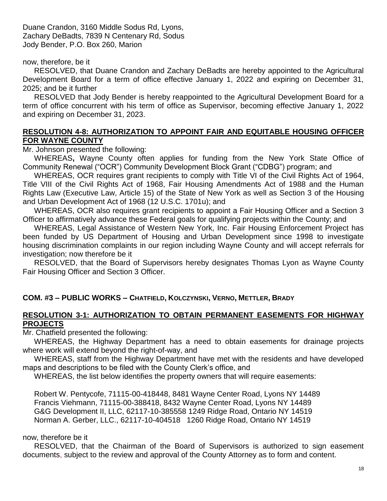Duane Crandon, 3160 Middle Sodus Rd, Lyons, Zachary DeBadts, 7839 N Centenary Rd, Sodus Jody Bender, P.O. Box 260, Marion

now, therefore, be it

RESOLVED, that Duane Crandon and Zachary DeBadts are hereby appointed to the Agricultural Development Board for a term of office effective January 1, 2022 and expiring on December 31, 2025; and be it further

RESOLVED that Jody Bender is hereby reappointed to the Agricultural Development Board for a term of office concurrent with his term of office as Supervisor, becoming effective January 1, 2022 and expiring on December 31, 2023.

#### **RESOLUTION 4-8: AUTHORIZATION TO APPOINT FAIR AND EQUITABLE HOUSING OFFICER FOR WAYNE COUNTY**

Mr. Johnson presented the following:

WHEREAS**,** Wayne County often applies for funding from the New York State Office of Community Renewal ("OCR") Community Development Block Grant ("CDBG") program; and

WHEREAS, OCR requires grant recipients to comply with Title VI of the Civil Rights Act of 1964, Title VIII of the Civil Rights Act of 1968, Fair Housing Amendments Act of 1988 and the Human Rights Law (Executive Law, Article 15) of the State of New York as well as Section 3 of the Housing and Urban Development Act of 1968 (12 U.S.C. 1701u); and

WHEREAS, OCR also requires grant recipients to appoint a Fair Housing Officer and a Section 3 Officer to affirmatively advance these Federal goals for qualifying projects within the County; and

WHEREAS, Legal Assistance of Western New York, Inc. Fair Housing Enforcement Project has been funded by US Department of Housing and Urban Development since 1998 to investigate housing discrimination complaints in our region including Wayne County and will accept referrals for investigation; now therefore be it

RESOLVED, that the Board of Supervisors hereby designates Thomas Lyon as Wayne County Fair Housing Officer and Section 3 Officer.

#### **COM. #3 – PUBLIC WORKS – CHATFIELD, KOLCZYNSKI, VERNO, METTLER, BRADY**

# **RESOLUTION 3-1: AUTHORIZATION TO OBTAIN PERMANENT EASEMENTS FOR HIGHWAY PROJECTS**

Mr. Chatfield presented the following:

WHEREAS, the Highway Department has a need to obtain easements for drainage projects where work will extend beyond the right-of-way, and

WHEREAS, staff from the Highway Department have met with the residents and have developed maps and descriptions to be filed with the County Clerk's office, and

WHEREAS, the list below identifies the property owners that will require easements:

Robert W. Pentycofe, 71115-00-418448, 8481 Wayne Center Road, Lyons NY 14489 Francis Viehmann, 71115-00-388418, 8432 Wayne Center Road, Lyons NY 14489 G&G Development II, LLC, 62117-10-385558 1249 Ridge Road, Ontario NY 14519 Norman A. Gerber, LLC., 62117-10-404518 1260 Ridge Road, Ontario NY 14519

#### now, therefore be it

RESOLVED, that the Chairman of the Board of Supervisors is authorized to sign easement documents, subject to the review and approval of the County Attorney as to form and content.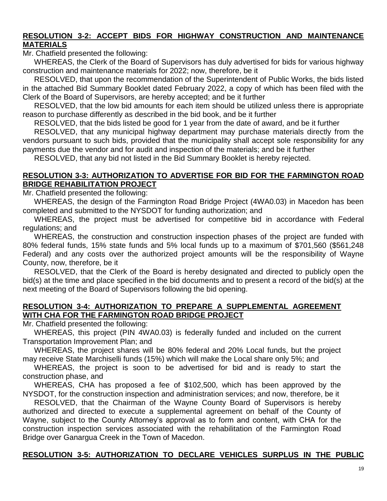# **RESOLUTION 3-2: ACCEPT BIDS FOR HIGHWAY CONSTRUCTION AND MAINTENANCE MATERIALS**

Mr. Chatfield presented the following:

WHEREAS, the Clerk of the Board of Supervisors has duly advertised for bids for various highway construction and maintenance materials for 2022; now, therefore, be it

RESOLVED, that upon the recommendation of the Superintendent of Public Works, the bids listed in the attached Bid Summary Booklet dated February 2022, a copy of which has been filed with the Clerk of the Board of Supervisors, are hereby accepted; and be it further

RESOLVED, that the low bid amounts for each item should be utilized unless there is appropriate reason to purchase differently as described in the bid book, and be it further

RESOLVED, that the bids listed be good for 1 year from the date of award, and be it further

RESOLVED, that any municipal highway department may purchase materials directly from the vendors pursuant to such bids, provided that the municipality shall accept sole responsibility for any payments due the vendor and for audit and inspection of the materials; and be it further

RESOLVED, that any bid not listed in the Bid Summary Booklet is hereby rejected.

#### **RESOLUTION 3-3: AUTHORIZATION TO ADVERTISE FOR BID FOR THE FARMINGTON ROAD BRIDGE REHABILITATION PROJECT**

Mr. Chatfield presented the following:

WHEREAS, the design of the Farmington Road Bridge Project (4WA0.03) in Macedon has been completed and submitted to the NYSDOT for funding authorization; and

WHEREAS, the project must be advertised for competitive bid in accordance with Federal regulations; and

WHEREAS, the construction and construction inspection phases of the project are funded with 80% federal funds, 15% state funds and 5% local funds up to a maximum of \$701,560 (\$561,248 Federal) and any costs over the authorized project amounts will be the responsibility of Wayne County, now, therefore, be it

RESOLVED, that the Clerk of the Board is hereby designated and directed to publicly open the bid(s) at the time and place specified in the bid documents and to present a record of the bid(s) at the next meeting of the Board of Supervisors following the bid opening.

#### **RESOLUTION 3-4: AUTHORIZATION TO PREPARE A SUPPLEMENTAL AGREEMENT WITH CHA FOR THE FARMINGTON ROAD BRIDGE PROJECT**

Mr. Chatfield presented the following:

WHEREAS, this project (PIN 4WA0.03) is federally funded and included on the current Transportation Improvement Plan; and

WHEREAS, the project shares will be 80% federal and 20% Local funds, but the project may receive State Marchiselli funds (15%) which will make the Local share only 5%; and

WHEREAS, the project is soon to be advertised for bid and is ready to start the construction phase, and

WHEREAS, CHA has proposed a fee of \$102,500, which has been approved by the NYSDOT, for the construction inspection and administration services; and now, therefore, be it

RESOLVED, that the Chairman of the Wayne County Board of Supervisors is hereby authorized and directed to execute a supplemental agreement on behalf of the County of Wayne, subject to the County Attorney's approval as to form and content, with CHA for the construction inspection services associated with the rehabilitation of the Farmington Road Bridge over Ganargua Creek in the Town of Macedon.

#### **RESOLUTION 3-5: AUTHORIZATION TO DECLARE VEHICLES SURPLUS IN THE PUBLIC**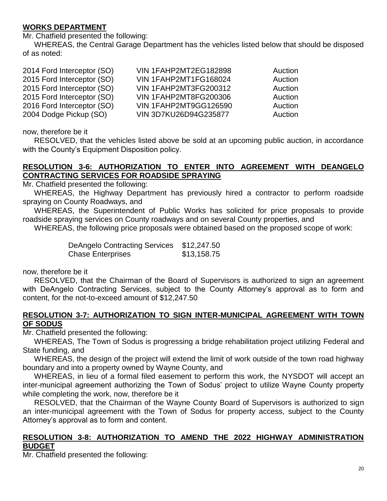# **WORKS DEPARTMENT**

Mr. Chatfield presented the following:

WHEREAS, the Central Garage Department has the vehicles listed below that should be disposed of as noted:

| 2014 Ford Interceptor (SO) | VIN 1FAHP2MT2EG182898        | Auction |
|----------------------------|------------------------------|---------|
| 2015 Ford Interceptor (SO) | VIN 1FAHP2MT1FG168024        | Auction |
| 2015 Ford Interceptor (SO) | VIN 1FAHP2MT3FG200312        | Auction |
| 2015 Ford Interceptor (SO) | <b>VIN 1FAHP2MT8FG200306</b> | Auction |
| 2016 Ford Interceptor (SO) | VIN 1FAHP2MT9GG126590        | Auction |
| 2004 Dodge Pickup (SO)     | VIN 3D7KU26D94G235877        | Auction |

now, therefore be it

RESOLVED, that the vehicles listed above be sold at an upcoming public auction, in accordance with the County's Equipment Disposition policy.

# **RESOLUTION 3-6: AUTHORIZATION TO ENTER INTO AGREEMENT WITH DEANGELO CONTRACTING SERVICES FOR ROADSIDE SPRAYING**

Mr. Chatfield presented the following:

WHEREAS, the Highway Department has previously hired a contractor to perform roadside spraying on County Roadways, and

WHEREAS, the Superintendent of Public Works has solicited for price proposals to provide roadside spraying services on County roadways and on several County properties, and

WHEREAS, the following price proposals were obtained based on the proposed scope of work:

DeAngelo Contracting Services \$12,247.50 Chase Enterprises \$13,158.75

now, therefore be it

RESOLVED, that the Chairman of the Board of Supervisors is authorized to sign an agreement with DeAngelo Contracting Services, subject to the County Attorney's approval as to form and content, for the not-to-exceed amount of \$12,247.50

# **RESOLUTION 3-7: AUTHORIZATION TO SIGN INTER-MUNICIPAL AGREEMENT WITH TOWN OF SODUS**

Mr. Chatfield presented the following:

WHEREAS, The Town of Sodus is progressing a bridge rehabilitation project utilizing Federal and State funding, and

WHEREAS, the design of the project will extend the limit of work outside of the town road highway boundary and into a property owned by Wayne County, and

WHEREAS, in lieu of a formal filed easement to perform this work, the NYSDOT will accept an inter-municipal agreement authorizing the Town of Sodus' project to utilize Wayne County property while completing the work, now, therefore be it

RESOLVED, that the Chairman of the Wayne County Board of Supervisors is authorized to sign an inter-municipal agreement with the Town of Sodus for property access, subject to the County Attorney's approval as to form and content.

#### **RESOLUTION 3-8: AUTHORIZATION TO AMEND THE 2022 HIGHWAY ADMINISTRATION BUDGET**

Mr. Chatfield presented the following: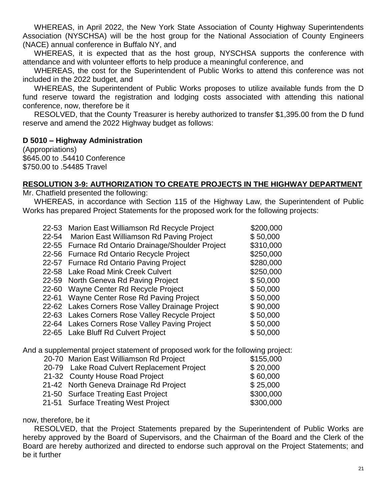WHEREAS, in April 2022, the New York State Association of County Highway Superintendents Association (NYSCHSA) will be the host group for the National Association of County Engineers (NACE) annual conference in Buffalo NY, and

WHEREAS, it is expected that as the host group, NYSCHSA supports the conference with attendance and with volunteer efforts to help produce a meaningful conference, and

WHEREAS, the cost for the Superintendent of Public Works to attend this conference was not included in the 2022 budget, and

WHEREAS, the Superintendent of Public Works proposes to utilize available funds from the D fund reserve toward the registration and lodging costs associated with attending this national conference, now, therefore be it

RESOLVED, that the County Treasurer is hereby authorized to transfer \$1,395.00 from the D fund reserve and amend the 2022 Highway budget as follows:

#### **D 5010 – Highway Administration**

(Appropriations) \$645.00 to .54410 Conference \$750.00 to .54485 Travel

# **RESOLUTION 3-9: AUTHORIZATION TO CREATE PROJECTS IN THE HIGHWAY DEPARTMENT**

Mr. Chatfield presented the following:

WHEREAS, in accordance with Section 115 of the Highway Law, the Superintendent of Public Works has prepared Project Statements for the proposed work for the following projects:

|                                           | \$200,000                                                                                                                                                                                                                                                                                                                                                                                                                                                                         |
|-------------------------------------------|-----------------------------------------------------------------------------------------------------------------------------------------------------------------------------------------------------------------------------------------------------------------------------------------------------------------------------------------------------------------------------------------------------------------------------------------------------------------------------------|
|                                           | \$50,000                                                                                                                                                                                                                                                                                                                                                                                                                                                                          |
|                                           | \$310,000                                                                                                                                                                                                                                                                                                                                                                                                                                                                         |
|                                           | \$250,000                                                                                                                                                                                                                                                                                                                                                                                                                                                                         |
| <b>Furnace Rd Ontario Paving Project</b>  | \$280,000                                                                                                                                                                                                                                                                                                                                                                                                                                                                         |
| <b>Lake Road Mink Creek Culvert</b>       | \$250,000                                                                                                                                                                                                                                                                                                                                                                                                                                                                         |
|                                           | \$50,000                                                                                                                                                                                                                                                                                                                                                                                                                                                                          |
|                                           | \$50,000                                                                                                                                                                                                                                                                                                                                                                                                                                                                          |
|                                           | \$50,000                                                                                                                                                                                                                                                                                                                                                                                                                                                                          |
|                                           | \$90,000                                                                                                                                                                                                                                                                                                                                                                                                                                                                          |
| Lakes Corners Rose Valley Recycle Project | \$50,000                                                                                                                                                                                                                                                                                                                                                                                                                                                                          |
|                                           | \$50,000                                                                                                                                                                                                                                                                                                                                                                                                                                                                          |
|                                           | \$50,000                                                                                                                                                                                                                                                                                                                                                                                                                                                                          |
|                                           | 22-53 Marion East Williamson Rd Recycle Project<br>22-54 Marion East Williamson Rd Paving Project<br>22-55 Furnace Rd Ontario Drainage/Shoulder Project<br>22-56 Furnace Rd Ontario Recycle Project<br>22-59 North Geneva Rd Paving Project<br>22-60 Wayne Center Rd Recycle Project<br>22-61 Wayne Center Rose Rd Paving Project<br>22-62 Lakes Corners Rose Valley Drainage Project<br>Lakes Corners Rose Valley Paving Project<br>22-64<br>22-65 Lake Bluff Rd Culvert Project |

And a supplemental project statement of proposed work for the following project:

|  | \$155,000                                                                                                                                                                                                                                         |
|--|---------------------------------------------------------------------------------------------------------------------------------------------------------------------------------------------------------------------------------------------------|
|  | \$20,000                                                                                                                                                                                                                                          |
|  | \$60,000                                                                                                                                                                                                                                          |
|  | \$25,000                                                                                                                                                                                                                                          |
|  | \$300,000                                                                                                                                                                                                                                         |
|  | \$300,000                                                                                                                                                                                                                                         |
|  | 20-70 Marion East Williamson Rd Project<br>20-79 Lake Road Culvert Replacement Project<br>21-32 County House Road Project<br>21-42 North Geneva Drainage Rd Project<br>21-50 Surface Treating East Project<br>21-51 Surface Treating West Project |

#### now, therefore, be it

RESOLVED, that the Project Statements prepared by the Superintendent of Public Works are hereby approved by the Board of Supervisors, and the Chairman of the Board and the Clerk of the Board are hereby authorized and directed to endorse such approval on the Project Statements; and be it further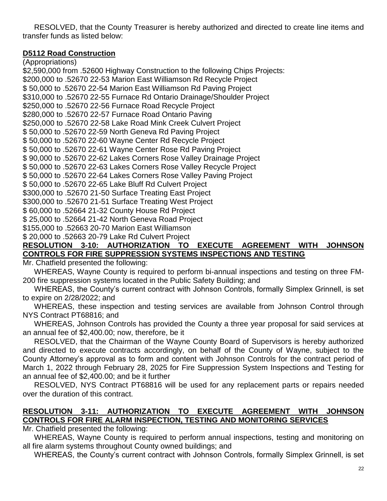RESOLVED, that the County Treasurer is hereby authorized and directed to create line items and transfer funds as listed below:

# **D5112 Road Construction**

# (Appropriations)

\$2,590,000 from .52600 Highway Construction to the following Chips Projects: \$200,000 to .52670 22-53 Marion East Williamson Rd Recycle Project \$ 50,000 to .52670 22-54 Marion East Williamson Rd Paving Project \$310,000 to .52670 22-55 Furnace Rd Ontario Drainage/Shoulder Project \$250,000 to .52670 22-56 Furnace Road Recycle Project \$280,000 to .52670 22-57 Furnace Road Ontario Paving \$250,000 to .52670 22-58 Lake Road Mink Creek Culvert Project \$ 50,000 to .52670 22-59 North Geneva Rd Paving Project \$ 50,000 to .52670 22-60 Wayne Center Rd Recycle Project \$ 50,000 to .52670 22-61 Wayne Center Rose Rd Paving Project \$ 90,000 to .52670 22-62 Lakes Corners Rose Valley Drainage Project \$ 50,000 to .52670 22-63 Lakes Corners Rose Valley Recycle Project \$ 50,000 to .52670 22-64 Lakes Corners Rose Valley Paving Project \$ 50,000 to .52670 22-65 Lake Bluff Rd Culvert Project \$300,000 to .52670 21-50 Surface Treating East Project \$300,000 to .52670 21-51 Surface Treating West Project \$ 60,000 to .52664 21-32 County House Rd Project \$ 25,000 to .52664 21-42 North Geneva Road Project \$155,000 to .52663 20-70 Marion East Williamson

\$ 20,000 to .52663 20-79 Lake Rd Culvert Project

# **RESOLUTION 3-10: AUTHORIZATION TO EXECUTE AGREEMENT WITH JOHNSON CONTROLS FOR FIRE SUPPRESSION SYSTEMS INSPECTIONS AND TESTING**

Mr. Chatfield presented the following:

WHEREAS, Wayne County is required to perform bi-annual inspections and testing on three FM-200 fire suppression systems located in the Public Safety Building; and

WHEREAS, the County's current contract with Johnson Controls, formally Simplex Grinnell, is set to expire on 2/28/2022; and

WHEREAS, these inspection and testing services are available from Johnson Control through NYS Contract PT68816; and

WHEREAS, Johnson Controls has provided the County a three year proposal for said services at an annual fee of \$2,400.00; now, therefore, be it

RESOLVED, that the Chairman of the Wayne County Board of Supervisors is hereby authorized and directed to execute contracts accordingly, on behalf of the County of Wayne, subject to the County Attorney's approval as to form and content with Johnson Controls for the contract period of March 1, 2022 through February 28, 2025 for Fire Suppression System Inspections and Testing for an annual fee of \$2,400.00; and be it further

RESOLVED, NYS Contract PT68816 will be used for any replacement parts or repairs needed over the duration of this contract.

# **RESOLUTION 3-11: AUTHORIZATION TO EXECUTE AGREEMENT WITH JOHNSON CONTROLS FOR FIRE ALARM INSPECTION, TESTING AND MONITORING SERVICES**

Mr. Chatfield presented the following:

WHEREAS, Wayne County is required to perform annual inspections, testing and monitoring on all fire alarm systems throughout County owned buildings; and

WHEREAS, the County's current contract with Johnson Controls, formally Simplex Grinnell, is set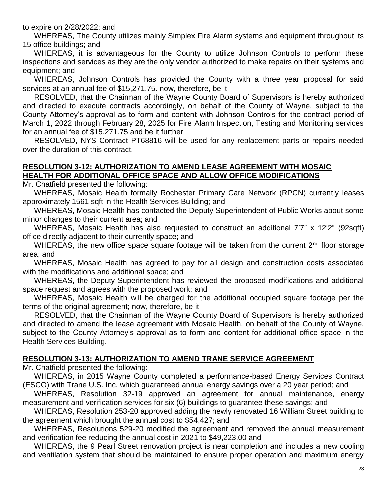to expire on 2/28/2022; and

WHEREAS, The County utilizes mainly Simplex Fire Alarm systems and equipment throughout its 15 office buildings; and

WHEREAS, it is advantageous for the County to utilize Johnson Controls to perform these inspections and services as they are the only vendor authorized to make repairs on their systems and equipment; and

WHEREAS, Johnson Controls has provided the County with a three year proposal for said services at an annual fee of \$15,271.75. now, therefore, be it

RESOLVED, that the Chairman of the Wayne County Board of Supervisors is hereby authorized and directed to execute contracts accordingly, on behalf of the County of Wayne, subject to the County Attorney's approval as to form and content with Johnson Controls for the contract period of March 1, 2022 through February 28, 2025 for Fire Alarm Inspection, Testing and Monitoring services for an annual fee of \$15,271.75 and be it further

RESOLVED, NYS Contract PT68816 will be used for any replacement parts or repairs needed over the duration of this contract.

# **RESOLUTION 3-12: AUTHORIZATION TO AMEND LEASE AGREEMENT WITH MOSAIC HEALTH FOR ADDITIONAL OFFICE SPACE AND ALLOW OFFICE MODIFICATIONS**

Mr. Chatfield presented the following:

WHEREAS, Mosaic Health formally Rochester Primary Care Network (RPCN) currently leases approximately 1561 sqft in the Health Services Building; and

WHEREAS, Mosaic Health has contacted the Deputy Superintendent of Public Works about some minor changes to their current area; and

WHEREAS, Mosaic Health has also requested to construct an additional 7'7" x 12'2" (92sqft) office directly adjacent to their currently space; and

WHEREAS, the new office space square footage will be taken from the current  $2<sup>nd</sup>$  floor storage area; and

WHEREAS, Mosaic Health has agreed to pay for all design and construction costs associated with the modifications and additional space; and

WHEREAS, the Deputy Superintendent has reviewed the proposed modifications and additional space request and agrees with the proposed work; and

WHEREAS, Mosaic Health will be charged for the additional occupied square footage per the terms of the original agreement; now, therefore, be it

RESOLVED, that the Chairman of the Wayne County Board of Supervisors is hereby authorized and directed to amend the lease agreement with Mosaic Health, on behalf of the County of Wayne, subject to the County Attorney's approval as to form and content for additional office space in the Health Services Building.

#### **RESOLUTION 3-13: AUTHORIZATION TO AMEND TRANE SERVICE AGREEMENT**

Mr. Chatfield presented the following:

WHEREAS, in 2015 Wayne County completed a performance-based Energy Services Contract (ESCO) with Trane U.S. Inc. which guaranteed annual energy savings over a 20 year period; and

WHEREAS, Resolution 32-19 approved an agreement for annual maintenance, energy measurement and verification services for six (6) buildings to guarantee these savings; and

WHEREAS, Resolution 253-20 approved adding the newly renovated 16 William Street building to the agreement which brought the annual cost to \$54,427; and

WHEREAS, Resolutions 529-20 modified the agreement and removed the annual measurement and verification fee reducing the annual cost in 2021 to \$49,223.00 and

WHEREAS, the 9 Pearl Street renovation project is near completion and includes a new cooling and ventilation system that should be maintained to ensure proper operation and maximum energy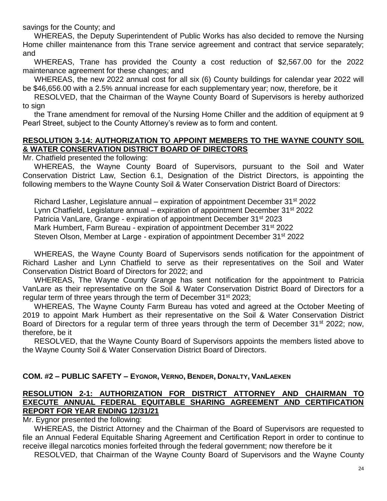savings for the County; and

WHEREAS, the Deputy Superintendent of Public Works has also decided to remove the Nursing Home chiller maintenance from this Trane service agreement and contract that service separately; and

WHEREAS, Trane has provided the County a cost reduction of \$2,567.00 for the 2022 maintenance agreement for these changes; and

WHEREAS, the new 2022 annual cost for all six (6) County buildings for calendar year 2022 will be \$46,656.00 with a 2.5% annual increase for each supplementary year; now, therefore, be it

RESOLVED, that the Chairman of the Wayne County Board of Supervisors is hereby authorized to sign

the Trane amendment for removal of the Nursing Home Chiller and the addition of equipment at 9 Pearl Street, subject to the County Attorney's review as to form and content.

#### **RESOLUTION 3-14: AUTHORIZATION TO APPOINT MEMBERS TO THE WAYNE COUNTY SOIL & WATER CONSERVATION DISTRICT BOARD OF DIRECTORS**

Mr. Chatfield presented the following:

WHEREAS, the Wayne County Board of Supervisors, pursuant to the Soil and Water Conservation District Law, Section 6.1, Designation of the District Directors, is appointing the following members to the Wayne County Soil & Water Conservation District Board of Directors:

Richard Lasher, Legislature annual – expiration of appointment December 31<sup>st</sup> 2022 Lynn Chatfield, Legislature annual – expiration of appointment December 31<sup>st</sup> 2022 Patricia VanLare, Grange - expiration of appointment December 31<sup>st</sup> 2023 Mark Humbert, Farm Bureau - expiration of appointment December 31<sup>st</sup> 2022 Steven Olson, Member at Large - expiration of appointment December 31<sup>st</sup> 2022

WHEREAS, the Wayne County Board of Supervisors sends notification for the appointment of Richard Lasher and Lynn Chatfield to serve as their representatives on the Soil and Water Conservation District Board of Directors for 2022; and

WHEREAS, The Wayne County Grange has sent notification for the appointment to Patricia VanLare as their representative on the Soil & Water Conservation District Board of Directors for a regular term of three years through the term of December  $31<sup>st</sup> 2023$ ;

WHEREAS, The Wayne County Farm Bureau has voted and agreed at the October Meeting of 2019 to appoint Mark Humbert as their representative on the Soil & Water Conservation District Board of Directors for a regular term of three years through the term of December 31<sup>st</sup> 2022; now, therefore, be it

RESOLVED, that the Wayne County Board of Supervisors appoints the members listed above to the Wayne County Soil & Water Conservation District Board of Directors.

# **COM. #2 – PUBLIC SAFETY – EYGNOR, VERNO, BENDER, DONALTY, VANLAEKEN**

## **RESOLUTION 2-1: AUTHORIZATION FOR DISTRICT ATTORNEY AND CHAIRMAN TO EXECUTE ANNUAL FEDERAL EQUITABLE SHARING AGREEMENT AND CERTIFICATION REPORT FOR YEAR ENDING 12/31/21**

Mr. Eygnor presented the following:

WHEREAS, the District Attorney and the Chairman of the Board of Supervisors are requested to file an Annual Federal Equitable Sharing Agreement and Certification Report in order to continue to receive illegal narcotics monies forfeited through the federal government; now therefore be it

RESOLVED, that Chairman of the Wayne County Board of Supervisors and the Wayne County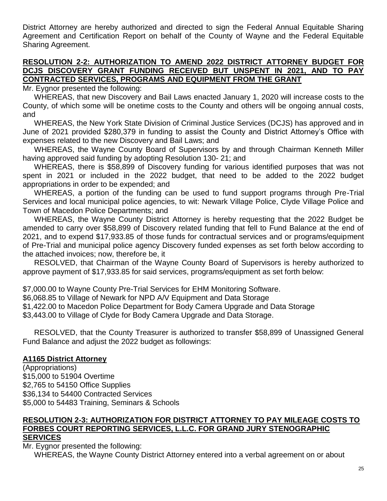District Attorney are hereby authorized and directed to sign the Federal Annual Equitable Sharing Agreement and Certification Report on behalf of the County of Wayne and the Federal Equitable Sharing Agreement.

# **RESOLUTION 2-2: AUTHORIZATION TO AMEND 2022 DISTRICT ATTORNEY BUDGET FOR DCJS DISCOVERY GRANT FUNDING RECEIVED BUT UNSPENT IN 2021, AND TO PAY CONTRACTED SERVICES, PROGRAMS AND EQUIPMENT FROM THE GRANT**

Mr. Eygnor presented the following:

WHEREAS, that new Discovery and Bail Laws enacted January 1, 2020 will increase costs to the County, of which some will be onetime costs to the County and others will be ongoing annual costs, and

WHEREAS, the New York State Division of Criminal Justice Services (DCJS) has approved and in June of 2021 provided \$280,379 in funding to assist the County and District Attorney's Office with expenses related to the new Discovery and Bail Laws; and

WHEREAS, the Wayne County Board of Supervisors by and through Chairman Kenneth Miller having approved said funding by adopting Resolution 130- 21; and

WHEREAS, there is \$58,899 of Discovery funding for various identified purposes that was not spent in 2021 or included in the 2022 budget, that need to be added to the 2022 budget appropriations in order to be expended; and

WHEREAS, a portion of the funding can be used to fund support programs through Pre-Trial Services and local municipal police agencies, to wit: Newark Village Police, Clyde Village Police and Town of Macedon Police Departments; and

WHEREAS, the Wayne County District Attorney is hereby requesting that the 2022 Budget be amended to carry over \$58,899 of Discovery related funding that fell to Fund Balance at the end of 2021, and to expend \$17,933.85 of those funds for contractual services and or programs/equipment of Pre-Trial and municipal police agency Discovery funded expenses as set forth below according to the attached invoices; now, therefore be, it

RESOLVED, that Chairman of the Wayne County Board of Supervisors is hereby authorized to approve payment of \$17,933.85 for said services, programs/equipment as set forth below:

\$7,000.00 to Wayne County Pre-Trial Services for EHM Monitoring Software.

\$6,068.85 to Village of Newark for NPD A/V Equipment and Data Storage

\$1,422.00 to Macedon Police Department for Body Camera Upgrade and Data Storage

\$3,443.00 to Village of Clyde for Body Camera Upgrade and Data Storage.

RESOLVED, that the County Treasurer is authorized to transfer \$58,899 of Unassigned General Fund Balance and adjust the 2022 budget as followings:

# **A1165 District Attorney**

(Appropriations) \$15,000 to 51904 Overtime \$2,765 to 54150 Office Supplies \$36,134 to 54400 Contracted Services \$5,000 to 54483 Training, Seminars & Schools

#### **RESOLUTION 2-3: AUTHORIZATION FOR DISTRICT ATTORNEY TO PAY MILEAGE COSTS TO FORBES COURT REPORTING SERVICES, L.L.C. FOR GRAND JURY STENOGRAPHIC SERVICES**

Mr. Eygnor presented the following:

WHEREAS, the Wayne County District Attorney entered into a verbal agreement on or about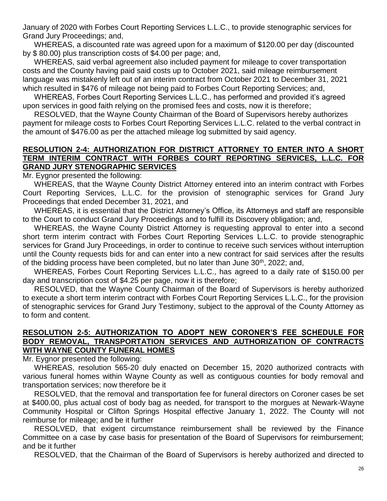January of 2020 with Forbes Court Reporting Services L.L.C., to provide stenographic services for Grand Jury Proceedings; and,

WHEREAS, a discounted rate was agreed upon for a maximum of \$120.00 per day (discounted by \$ 80.00) plus transcription costs of \$4.00 per page; and,

WHEREAS, said verbal agreement also included payment for mileage to cover transportation costs and the County having paid said costs up to October 2021, said mileage reimbursement language was mistakenly left out of an interim contract from October 2021 to December 31, 2021 which resulted in \$476 of mileage not being paid to Forbes Court Reporting Services; and,

WHEREAS, Forbes Court Reporting Services L.L.C., has performed and provided it's agreed upon services in good faith relying on the promised fees and costs, now it is therefore;

RESOLVED, that the Wayne County Chairman of the Board of Supervisors hereby authorizes payment for mileage costs to Forbes Court Reporting Services L.L.C. related to the verbal contract in the amount of \$476.00 as per the attached mileage log submitted by said agency.

# **RESOLUTION 2-4: AUTHORIZATION FOR DISTRICT ATTORNEY TO ENTER INTO A SHORT TERM INTERIM CONTRACT WITH FORBES COURT REPORTING SERVICES, L.L.C. FOR GRAND JURY STENOGRAPHIC SERVICES**

Mr. Eygnor presented the following:

WHEREAS, that the Wayne County District Attorney entered into an interim contract with Forbes Court Reporting Services, L.L.C. for the provision of stenographic services for Grand Jury Proceedings that ended December 31, 2021, and

WHEREAS, it is essential that the District Attorney's Office, its Attorneys and staff are responsible to the Court to conduct Grand Jury Proceedings and to fulfill its Discovery obligation; and,

WHEREAS, the Wayne County District Attorney is requesting approval to enter into a second short term interim contract with Forbes Court Reporting Services L.L.C. to provide stenographic services for Grand Jury Proceedings, in order to continue to receive such services without interruption until the County requests bids for and can enter into a new contract for said services after the results of the bidding process have been completed, but no later than June  $30<sup>th</sup>$ , 2022; and,

WHEREAS, Forbes Court Reporting Services L.L.C., has agreed to a daily rate of \$150.00 per day and transcription cost of \$4.25 per page, now it is therefore;

RESOLVED, that the Wayne County Chairman of the Board of Supervisors is hereby authorized to execute a short term interim contract with Forbes Court Reporting Services L.L.C., for the provision of stenographic services for Grand Jury Testimony, subject to the approval of the County Attorney as to form and content.

#### **RESOLUTION 2-5: AUTHORIZATION TO ADOPT NEW CORONER'S FEE SCHEDULE FOR BODY REMOVAL, TRANSPORTATION SERVICES AND AUTHORIZATION OF CONTRACTS WITH WAYNE COUNTY FUNERAL HOMES**

Mr. Evanor presented the following:

WHEREAS, resolution 565-20 duly enacted on December 15, 2020 authorized contracts with various funeral homes within Wayne County as well as contiguous counties for body removal and transportation services; now therefore be it

RESOLVED, that the removal and transportation fee for funeral directors on Coroner cases be set at \$400.00, plus actual cost of body bag as needed, for transport to the morgues at Newark-Wayne Community Hospital or Clifton Springs Hospital effective January 1, 2022. The County will not reimburse for mileage; and be it further

RESOLVED, that exigent circumstance reimbursement shall be reviewed by the Finance Committee on a case by case basis for presentation of the Board of Supervisors for reimbursement; and be it further

RESOLVED, that the Chairman of the Board of Supervisors is hereby authorized and directed to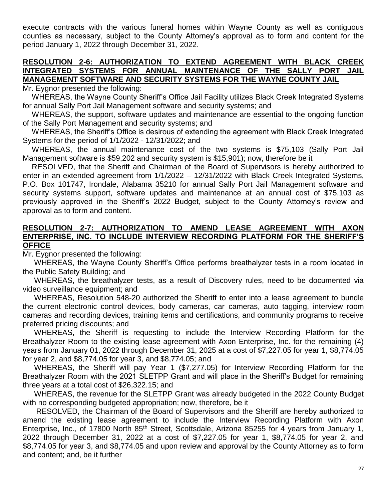execute contracts with the various funeral homes within Wayne County as well as contiguous counties as necessary, subject to the County Attorney's approval as to form and content for the period January 1, 2022 through December 31, 2022.

#### **RESOLUTION 2-6: AUTHORIZATION TO EXTEND AGREEMENT WITH BLACK CREEK INTEGRATED SYSTEMS FOR ANNUAL MAINTENANCE OF THE SALLY PORT JAIL MANAGEMENT SOFTWARE AND SECURITY SYSTEMS FOR THE WAYNE COUNTY JAIL**

Mr. Eygnor presented the following:

WHEREAS, the Wayne County Sheriff's Office Jail Facility utilizes Black Creek Integrated Systems for annual Sally Port Jail Management software and security systems; and

WHEREAS, the support, software updates and maintenance are essential to the ongoing function of the Sally Port Management and security systems; and

WHEREAS, the Sheriff's Office is desirous of extending the agreement with Black Creek Integrated Systems for the period of 1/1/2022 - 12/31/2022; and

WHEREAS, the annual maintenance cost of the two systems is \$75,103 (Sally Port Jail Management software is \$59,202 and security system is \$15,901); now, therefore be it

RESOLVED, that the Sheriff and Chairman of the Board of Supervisors is hereby authorized to enter in an extended agreement from 1/1/2022 – 12/31/2022 with Black Creek Integrated Systems, P.O. Box 101747, Irondale, Alabama 35210 for annual Sally Port Jail Management software and security systems support, software updates and maintenance at an annual cost of \$75,103 as previously approved in the Sheriff's 2022 Budget, subject to the County Attorney's review and approval as to form and content.

# **RESOLUTION 2-7: AUTHORIZATION TO AMEND LEASE AGREEMENT WITH AXON ENTERPRISE, INC. TO INCLUDE INTERVIEW RECORDING PLATFORM FOR THE SHERIFF'S OFFICE**

Mr. Eygnor presented the following:

WHEREAS, the Wayne County Sheriff's Office performs breathalyzer tests in a room located in the Public Safety Building; and

WHEREAS, the breathalyzer tests, as a result of Discovery rules, need to be documented via video surveillance equipment; and

WHEREAS, Resolution 548-20 authorized the Sheriff to enter into a lease agreement to bundle the current electronic control devices, body cameras, car cameras, auto tagging, interview room cameras and recording devices, training items and certifications, and community programs to receive preferred pricing discounts; and

WHEREAS, the Sheriff is requesting to include the Interview Recording Platform for the Breathalyzer Room to the existing lease agreement with Axon Enterprise, Inc. for the remaining (4) years from January 01, 2022 through December 31, 2025 at a cost of \$7,227.05 for year 1, \$8,774.05 for year 2, and \$8,774.05 for year 3, and \$8,774.05; and

WHEREAS, the Sheriff will pay Year 1 (\$7,277.05) for Interview Recording Platform for the Breathalyzer Room with the 2021 SLETPP Grant and will place in the Sheriff's Budget for remaining three years at a total cost of \$26,322.15; and

WHEREAS, the revenue for the SLETPP Grant was already budgeted in the 2022 County Budget with no corresponding budgeted appropriation; now, therefore, be it

RESOLVED, the Chairman of the Board of Supervisors and the Sheriff are hereby authorized to amend the existing lease agreement to include the Interview Recording Platform with Axon Enterprise, Inc., of 17800 North 85<sup>th</sup> Street, Scottsdale, Arizona 85255 for 4 years from January 1, 2022 through December 31, 2022 at a cost of \$7,227.05 for year 1, \$8,774.05 for year 2, and \$8,774.05 for year 3, and \$8,774.05 and upon review and approval by the County Attorney as to form and content; and, be it further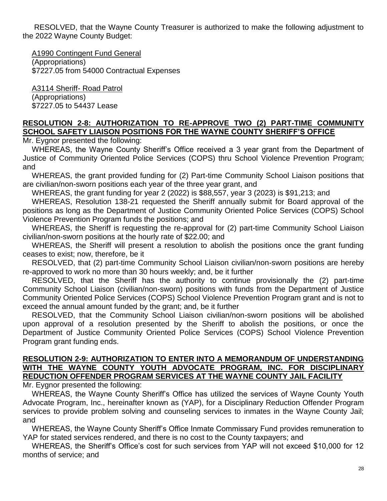RESOLVED, that the Wayne County Treasurer is authorized to make the following adjustment to the 2022 Wayne County Budget:

A1990 Contingent Fund General (Appropriations) \$7227.05 from 54000 Contractual Expenses

A3114 Sheriff- Road Patrol (Appropriations) \$7227.05 to 54437 Lease

# **RESOLUTION 2-8: AUTHORIZATION TO RE-APPROVE TWO (2) PART-TIME COMMUNITY SCHOOL SAFETY LIAISON POSITIONS FOR THE WAYNE COUNTY SHERIFF'S OFFICE**

Mr. Eygnor presented the following:

WHEREAS, the Wayne County Sheriff's Office received a 3 year grant from the Department of Justice of Community Oriented Police Services (COPS) thru School Violence Prevention Program; and

WHEREAS, the grant provided funding for (2) Part-time Community School Liaison positions that are civilian/non-sworn positions each year of the three year grant, and

WHEREAS, the grant funding for year 2 (2022) is \$88,557, year 3 (2023) is \$91,213; and

WHEREAS, Resolution 138-21 requested the Sheriff annually submit for Board approval of the positions as long as the Department of Justice Community Oriented Police Services (COPS) School Violence Prevention Program funds the positions; and

WHEREAS, the Sheriff is requesting the re-approval for (2) part-time Community School Liaison civilian/non-sworn positions at the hourly rate of \$22.00; and

WHEREAS, the Sheriff will present a resolution to abolish the positions once the grant funding ceases to exist; now, therefore, be it

RESOLVED, that (2) part-time Community School Liaison civilian/non-sworn positions are hereby re-approved to work no more than 30 hours weekly; and, be it further

RESOLVED, that the Sheriff has the authority to continue provisionally the (2) part-time Community School Liaison (civilian/non-sworn) positions with funds from the Department of Justice Community Oriented Police Services (COPS) School Violence Prevention Program grant and is not to exceed the annual amount funded by the grant; and, be it further

RESOLVED, that the Community School Liaison civilian/non-sworn positions will be abolished upon approval of a resolution presented by the Sheriff to abolish the positions, or once the Department of Justice Community Oriented Police Services (COPS) School Violence Prevention Program grant funding ends.

# **RESOLUTION 2-9: AUTHORIZATION TO ENTER INTO A MEMORANDUM OF UNDERSTANDING WITH THE WAYNE COUNTY YOUTH ADVOCATE PROGRAM, INC. FOR DISCIPLINARY REDUCTION OFFENDER PROGRAM SERVICES AT THE WAYNE COUNTY JAIL FACILITY**

Mr. Eygnor presented the following:

WHEREAS, the Wayne County Sheriff's Office has utilized the services of Wayne County Youth Advocate Program, Inc., hereinafter known as (YAP), for a Disciplinary Reduction Offender Program services to provide problem solving and counseling services to inmates in the Wayne County Jail; and

WHEREAS, the Wayne County Sheriff's Office Inmate Commissary Fund provides remuneration to YAP for stated services rendered, and there is no cost to the County taxpayers; and

WHEREAS, the Sheriff's Office's cost for such services from YAP will not exceed \$10,000 for 12 months of service; and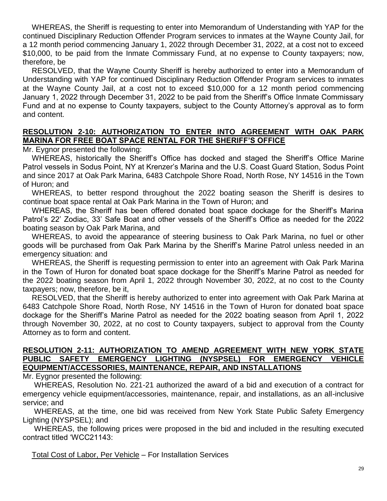WHEREAS, the Sheriff is requesting to enter into Memorandum of Understanding with YAP for the continued Disciplinary Reduction Offender Program services to inmates at the Wayne County Jail, for a 12 month period commencing January 1, 2022 through December 31, 2022, at a cost not to exceed \$10,000, to be paid from the Inmate Commissary Fund, at no expense to County taxpayers; now, therefore, be

RESOLVED, that the Wayne County Sheriff is hereby authorized to enter into a Memorandum of Understanding with YAP for continued Disciplinary Reduction Offender Program services to inmates at the Wayne County Jail, at a cost not to exceed \$10,000 for a 12 month period commencing January 1, 2022 through December 31, 2022 to be paid from the Sheriff's Office Inmate Commissary Fund and at no expense to County taxpayers, subject to the County Attorney's approval as to form and content.

#### **RESOLUTION 2-10: AUTHORIZATION TO ENTER INTO AGREEMENT WITH OAK PARK MARINA FOR FREE BOAT SPACE RENTAL FOR THE SHERIFF'S OFFICE**

Mr. Eygnor presented the following:

WHEREAS, historically the Sheriff's Office has docked and staged the Sheriff's Office Marine Patrol vessels in Sodus Point, NY at Krenzer's Marina and the U.S. Coast Guard Station, Sodus Point and since 2017 at Oak Park Marina, 6483 Catchpole Shore Road, North Rose, NY 14516 in the Town of Huron; and

WHEREAS, to better respond throughout the 2022 boating season the Sheriff is desires to continue boat space rental at Oak Park Marina in the Town of Huron; and

WHEREAS, the Sheriff has been offered donated boat space dockage for the Sheriff's Marina Patrol's 22' Zodiac, 33' Safe Boat and other vessels of the Sheriff's Office as needed for the 2022 boating season by Oak Park Marina, and

WHEREAS, to avoid the appearance of steering business to Oak Park Marina, no fuel or other goods will be purchased from Oak Park Marina by the Sheriff's Marine Patrol unless needed in an emergency situation: and

WHEREAS, the Sheriff is requesting permission to enter into an agreement with Oak Park Marina in the Town of Huron for donated boat space dockage for the Sheriff's Marine Patrol as needed for the 2022 boating season from April 1, 2022 through November 30, 2022, at no cost to the County taxpayers; now, therefore, be it,

RESOLVED, that the Sheriff is hereby authorized to enter into agreement with Oak Park Marina at 6483 Catchpole Shore Road, North Rose, NY 14516 in the Town of Huron for donated boat space dockage for the Sheriff's Marine Patrol as needed for the 2022 boating season from April 1, 2022 through November 30, 2022, at no cost to County taxpayers, subject to approval from the County Attorney as to form and content.

## **RESOLUTION 2-11: AUTHORIZATION TO AMEND AGREEMENT WITH NEW YORK STATE PUBLIC SAFETY EMERGENCY LIGHTING (NYSPSEL) FOR EMERGENCY VEHICLE EQUIPMENT/ACCESSORIES, MAINTENANCE, REPAIR, AND INSTALLATIONS**

Mr. Eygnor presented the following:

WHEREAS, Resolution No. 221-21 authorized the award of a bid and execution of a contract for emergency vehicle equipment/accessories, maintenance, repair, and installations, as an all-inclusive service; and

WHEREAS, at the time, one bid was received from New York State Public Safety Emergency Lighting (NYSPSEL); and

WHEREAS, the following prices were proposed in the bid and included in the resulting executed contract titled 'WCC21143:

Total Cost of Labor, Per Vehicle – For Installation Services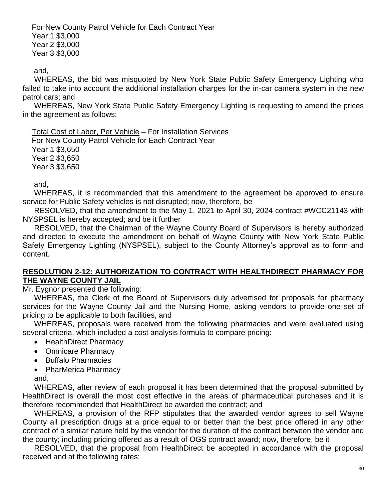For New County Patrol Vehicle for Each Contract Year Year 1 \$3,000 Year 2 \$3,000 Year 3 \$3,000

and,

WHEREAS, the bid was misquoted by New York State Public Safety Emergency Lighting who failed to take into account the additional installation charges for the in-car camera system in the new patrol cars; and

WHEREAS, New York State Public Safety Emergency Lighting is requesting to amend the prices in the agreement as follows:

Total Cost of Labor, Per Vehicle – For Installation Services

For New County Patrol Vehicle for Each Contract Year

Year 1 \$3,650 Year 2 \$3,650 Year 3 \$3,650

and,

WHEREAS, it is recommended that this amendment to the agreement be approved to ensure service for Public Safety vehicles is not disrupted; now, therefore, be

RESOLVED, that the amendment to the May 1, 2021 to April 30, 2024 contract #WCC21143 with NYSPSEL is hereby accepted; and be it further

RESOLVED, that the Chairman of the Wayne County Board of Supervisors is hereby authorized and directed to execute the amendment on behalf of Wayne County with New York State Public Safety Emergency Lighting (NYSPSEL), subject to the County Attorney's approval as to form and content.

#### **RESOLUTION 2-12: AUTHORIZATION TO CONTRACT WITH HEALTHDIRECT PHARMACY FOR THE WAYNE COUNTY JAIL**

Mr. Eygnor presented the following:

WHEREAS, the Clerk of the Board of Supervisors duly advertised for proposals for pharmacy services for the Wayne County Jail and the Nursing Home, asking vendors to provide one set of pricing to be applicable to both facilities, and

WHEREAS, proposals were received from the following pharmacies and were evaluated using several criteria, which included a cost analysis formula to compare pricing:

- HealthDirect Pharmacy
- Omnicare Pharmacy
- Buffalo Pharmacies
- PharMerica Pharmacy and,

WHEREAS, after review of each proposal it has been determined that the proposal submitted by HealthDirect is overall the most cost effective in the areas of pharmaceutical purchases and it is therefore recommended that HealthDirect be awarded the contract; and

WHEREAS, a provision of the RFP stipulates that the awarded vendor agrees to sell Wayne County all prescription drugs at a price equal to or better than the best price offered in any other contract of a similar nature held by the vendor for the duration of the contract between the vendor and the county; including pricing offered as a result of OGS contract award; now, therefore, be it

RESOLVED, that the proposal from HealthDirect be accepted in accordance with the proposal received and at the following rates: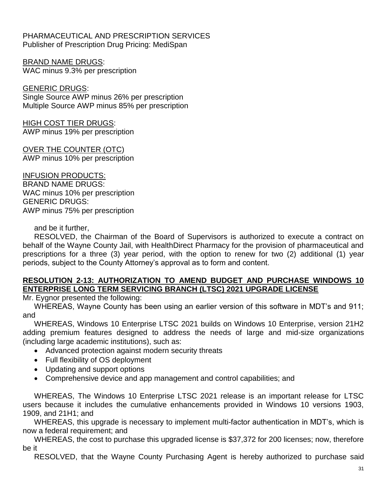# PHARMACEUTICAL AND PRESCRIPTION SERVICES Publisher of Prescription Drug Pricing: MediSpan

BRAND NAME DRUGS: WAC minus 9.3% per prescription

GENERIC DRUGS: Single Source AWP minus 26% per prescription Multiple Source AWP minus 85% per prescription

HIGH COST TIER DRUGS: AWP minus 19% per prescription

OVER THE COUNTER (OTC) AWP minus 10% per prescription

INFUSION PRODUCTS: BRAND NAME DRUGS: WAC minus 10% per prescription GENERIC DRUGS: AWP minus 75% per prescription

#### and be it further,

RESOLVED, the Chairman of the Board of Supervisors is authorized to execute a contract on behalf of the Wayne County Jail, with HealthDirect Pharmacy for the provision of pharmaceutical and prescriptions for a three (3) year period, with the option to renew for two (2) additional (1) year periods, subject to the County Attorney's approval as to form and content.

# **RESOLUTION 2-13: AUTHORIZATION TO AMEND BUDGET AND PURCHASE WINDOWS 10 ENTERPRISE LONG TERM SERVICING BRANCH (LTSC) 2021 UPGRADE LICENSE**

Mr. Eygnor presented the following:

WHEREAS, Wayne County has been using an earlier version of this software in MDT's and 911; and

WHEREAS, Windows 10 Enterprise LTSC 2021 builds on Windows 10 Enterprise, version 21H2 adding premium features designed to address the needs of large and mid-size organizations (including large academic institutions), such as:

- Advanced protection against modern security threats
- Full flexibility of OS deployment
- Updating and support options
- Comprehensive device and app management and control capabilities; and

WHEREAS, The Windows 10 Enterprise LTSC 2021 release is an important release for LTSC users because it includes the cumulative enhancements provided in Windows 10 versions 1903, 1909, and 21H1; and

WHEREAS, this upgrade is necessary to implement multi-factor authentication in MDT's, which is now a federal requirement; and

WHEREAS, the cost to purchase this upgraded license is \$37,372 for 200 licenses; now, therefore be it

RESOLVED, that the Wayne County Purchasing Agent is hereby authorized to purchase said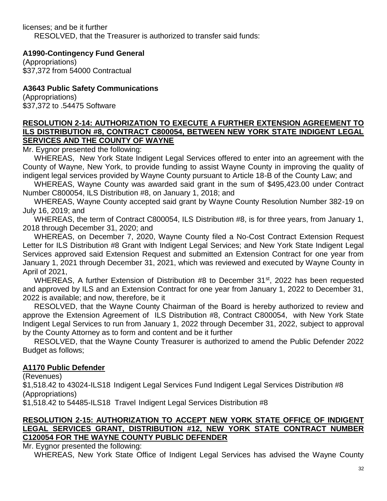licenses; and be it further RESOLVED, that the Treasurer is authorized to transfer said funds:

# **A1990-Contingency Fund General**

(Appropriations) \$37,372 from 54000 Contractual

# **A3643 Public Safety Communications**

(Appropriations) \$37,372 to .54475 Software

#### **RESOLUTION 2-14: AUTHORIZATION TO EXECUTE A FURTHER EXTENSION AGREEMENT TO ILS DISTRIBUTION #8, CONTRACT C800054, BETWEEN NEW YORK STATE INDIGENT LEGAL SERVICES AND THE COUNTY OF WAYNE**

Mr. Eygnor presented the following:

WHEREAS, New York State Indigent Legal Services offered to enter into an agreement with the County of Wayne, New York, to provide funding to assist Wayne County in improving the quality of indigent legal services provided by Wayne County pursuant to Article 18-B of the County Law; and

WHEREAS, Wayne County was awarded said grant in the sum of \$495,423.00 under Contract Number C800054, ILS Distribution #8, on January 1, 2018; and

WHEREAS, Wayne County accepted said grant by Wayne County Resolution Number 382-19 on July 16, 2019; and

WHEREAS, the term of Contract C800054, ILS Distribution #8, is for three years, from January 1, 2018 through December 31, 2020; and

WHEREAS, on December 7, 2020, Wayne County filed a No-Cost Contract Extension Request Letter for ILS Distribution #8 Grant with Indigent Legal Services; and New York State Indigent Legal Services approved said Extension Request and submitted an Extension Contract for one year from January 1, 2021 through December 31, 2021, which was reviewed and executed by Wayne County in April of 2021,

WHEREAS, A further Extension of Distribution #8 to December  $31<sup>st</sup>$ , 2022 has been requested and approved by ILS and an Extension Contract for one year from January 1, 2022 to December 31, 2022 is available; and now, therefore, be it

RESOLVED, that the Wayne County Chairman of the Board is hereby authorized to review and approve the Extension Agreement of ILS Distribution #8, Contract C800054, with New York State Indigent Legal Services to run from January 1, 2022 through December 31, 2022, subject to approval by the County Attorney as to form and content and be it further

RESOLVED, that the Wayne County Treasurer is authorized to amend the Public Defender 2022 Budget as follows;

# **A1170 Public Defender**

(Revenues) \$1,518.42 to 43024-ILS18 Indigent Legal Services Fund Indigent Legal Services Distribution #8 (Appropriations)

\$1,518.42 to 54485-ILS18 Travel Indigent Legal Services Distribution #8

## **RESOLUTION 2-15: AUTHORIZATION TO ACCEPT NEW YORK STATE OFFICE OF INDIGENT LEGAL SERVICES GRANT, DISTRIBUTION #12, NEW YORK STATE CONTRACT NUMBER C120054 FOR THE WAYNE COUNTY PUBLIC DEFENDER**

Mr. Evanor presented the following:

WHEREAS, New York State Office of Indigent Legal Services has advised the Wayne County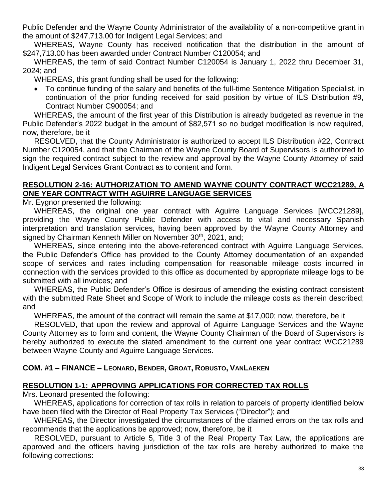Public Defender and the Wayne County Administrator of the availability of a non-competitive grant in the amount of \$247,713.00 for Indigent Legal Services; and

WHEREAS, Wayne County has received notification that the distribution in the amount of \$247,713.00 has been awarded under Contract Number C120054; and

WHEREAS, the term of said Contract Number C120054 is January 1, 2022 thru December 31, 2024; and

WHEREAS, this grant funding shall be used for the following:

 To continue funding of the salary and benefits of the full-time Sentence Mitigation Specialist, in continuation of the prior funding received for said position by virtue of ILS Distribution #9, Contract Number C900054; and

WHEREAS, the amount of the first year of this Distribution is already budgeted as revenue in the Public Defender's 2022 budget in the amount of \$82,571 so no budget modification is now required, now, therefore, be it

RESOLVED, that the County Administrator is authorized to accept ILS Distribution #22, Contract Number C120054, and that the Chairman of the Wayne County Board of Supervisors is authorized to sign the required contract subject to the review and approval by the Wayne County Attorney of said Indigent Legal Services Grant Contract as to content and form.

# **RESOLUTION 2-16: AUTHORIZATION TO AMEND WAYNE COUNTY CONTRACT WCC21289, A ONE YEAR CONTRACT WITH AGUIRRE LANGUAGE SERVICES**

Mr. Eygnor presented the following:

WHEREAS, the original one year contract with Aguirre Language Services [WCC21289], providing the Wayne County Public Defender with access to vital and necessary Spanish interpretation and translation services, having been approved by the Wayne County Attorney and signed by Chairman Kenneth Miller on November 30<sup>th</sup>, 2021, and;

WHEREAS, since entering into the above-referenced contract with Aguirre Language Services, the Public Defender's Office has provided to the County Attorney documentation of an expanded scope of services and rates including compensation for reasonable mileage costs incurred in connection with the services provided to this office as documented by appropriate mileage logs to be submitted with all invoices; and

WHEREAS, the Public Defender's Office is desirous of amending the existing contract consistent with the submitted Rate Sheet and Scope of Work to include the mileage costs as therein described; and

WHEREAS, the amount of the contract will remain the same at \$17,000; now, therefore, be it

RESOLVED, that upon the review and approval of Aguirre Language Services and the Wayne County Attorney as to form and content, the Wayne County Chairman of the Board of Supervisors is hereby authorized to execute the stated amendment to the current one year contract WCC21289 between Wayne County and Aguirre Language Services.

# **COM. #1 – FINANCE – LEONARD, BENDER, GROAT, ROBUSTO, VANLAEKEN**

# **RESOLUTION 1-1: APPROVING APPLICATIONS FOR CORRECTED TAX ROLLS**

Mrs. Leonard presented the following:

WHEREAS, applications for correction of tax rolls in relation to parcels of property identified below have been filed with the Director of Real Property Tax Services ("Director"); and

WHEREAS, the Director investigated the circumstances of the claimed errors on the tax rolls and recommends that the applications be approved; now, therefore, be it

RESOLVED, pursuant to Article 5, Title 3 of the Real Property Tax Law, the applications are approved and the officers having jurisdiction of the tax rolls are hereby authorized to make the following corrections: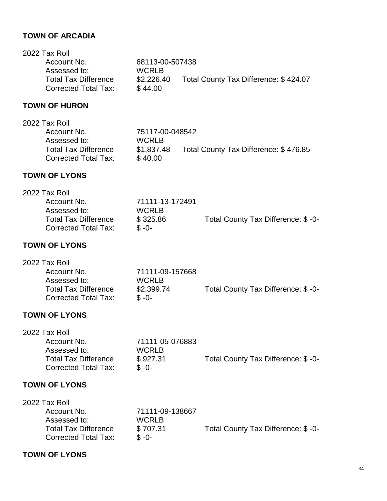# **TOWN OF ARCADIA**

| 2022 Tax Roll               |                 |                                       |
|-----------------------------|-----------------|---------------------------------------|
| Account No.                 | 68113-00-507438 |                                       |
| Assessed to:                | <b>WCRLB</b>    |                                       |
| <b>Total Tax Difference</b> | \$2,226.40      | Total County Tax Difference: \$424.07 |
| <b>Corrected Total Tax:</b> | \$44.00         |                                       |

# **TOWN OF HURON**

| 2022 Tax Roll                               |                            |                                       |
|---------------------------------------------|----------------------------|---------------------------------------|
| Account No.                                 | 75117-00-048542            |                                       |
| Assessed to:<br><b>Total Tax Difference</b> | <b>WCRLB</b><br>\$1,837.48 | Total County Tax Difference: \$476.85 |
| <b>Corrected Total Tax:</b>                 | \$40.00                    |                                       |

# **TOWN OF LYONS**

| 2022 Tax Roll               |                 |                                    |
|-----------------------------|-----------------|------------------------------------|
| Account No.                 | 71111-13-172491 |                                    |
| Assessed to:                | <b>WCRLB</b>    |                                    |
| <b>Total Tax Difference</b> | \$325.86        | Total County Tax Difference: \$-0- |
| Corrected Total Tax:        | $S - 0 -$       |                                    |

# **TOWN OF LYONS**

| 2022 Tax Roll               |                 |                                    |
|-----------------------------|-----------------|------------------------------------|
| Account No.                 | 71111-09-157668 |                                    |
| Assessed to:                | <b>WCRLB</b>    |                                    |
| <b>Total Tax Difference</b> | \$2,399.74      | Total County Tax Difference: \$-0- |
| Corrected Total Tax:        | $$ -0-$         |                                    |

#### **TOWN OF LYONS**

| 2022 Tax Roll               |                 |                                    |
|-----------------------------|-----------------|------------------------------------|
| Account No.                 | 71111-05-076883 |                                    |
| Assessed to:                | <b>WCRLB</b>    |                                    |
| <b>Total Tax Difference</b> | \$927.31        | Total County Tax Difference: \$-0- |
| <b>Corrected Total Tax:</b> | $$ -0-$         |                                    |

#### **TOWN OF LYONS**

| 2022 Tax Roll               |                 |                                    |
|-----------------------------|-----------------|------------------------------------|
| Account No.                 | 71111-09-138667 |                                    |
| Assessed to:                | <b>WCRLB</b>    |                                    |
| <b>Total Tax Difference</b> | \$707.31        | Total County Tax Difference: \$-0- |
| <b>Corrected Total Tax:</b> | $S - 0 -$       |                                    |

# **TOWN OF LYONS**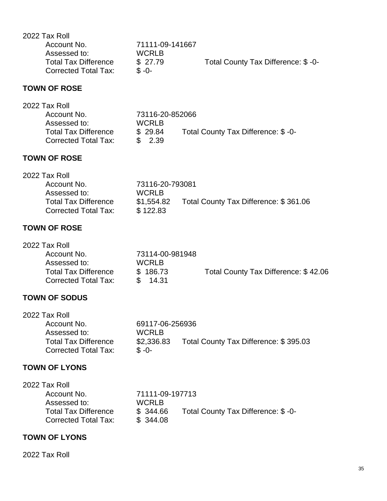| 71111-09-141667 |                                    |
|-----------------|------------------------------------|
| <b>WCRLB</b>    |                                    |
| \$27.79         | Total County Tax Difference: \$-0- |
| $$ -0-$         |                                    |
|                 |                                    |

# **TOWN OF ROSE**

| 73116-20-852066 |                                    |
|-----------------|------------------------------------|
| <b>WCRLB</b>    |                                    |
| \$29.84         | Total County Tax Difference: \$-0- |
| \$2.39          |                                    |
|                 |                                    |

# **TOWN OF ROSE**

| 2022 Tax Roll               |                 |                                       |
|-----------------------------|-----------------|---------------------------------------|
| Account No.                 | 73116-20-793081 |                                       |
| Assessed to:                | <b>WCRLB</b>    |                                       |
| <b>Total Tax Difference</b> | \$1,554.82      | Total County Tax Difference: \$361.06 |
| <b>Corrected Total Tax:</b> | \$122.83        |                                       |

# **TOWN OF ROSE**

| 2022 Tax Roll               |                 |                                      |
|-----------------------------|-----------------|--------------------------------------|
| Account No.                 | 73114-00-981948 |                                      |
| Assessed to:                | <b>WCRLB</b>    |                                      |
| <b>Total Tax Difference</b> | \$186.73        | Total County Tax Difference: \$42.06 |
| <b>Corrected Total Tax:</b> | 14.31           |                                      |

# **TOWN OF SODUS**

| 2022 Tax Roll               |                 |                                       |
|-----------------------------|-----------------|---------------------------------------|
| Account No.                 | 69117-06-256936 |                                       |
| Assessed to:                | <b>WCRLB</b>    |                                       |
| <b>Total Tax Difference</b> | \$2,336.83      | Total County Tax Difference: \$395.03 |
| <b>Corrected Total Tax:</b> | $$ -0-$         |                                       |

# **TOWN OF LYONS**

| 71111-09-197713 |                                    |
|-----------------|------------------------------------|
| <b>WCRLB</b>    |                                    |
| \$344.66        | Total County Tax Difference: \$-0- |
| \$344.08        |                                    |
|                 |                                    |

# **TOWN OF LYONS**

2022 Tax Roll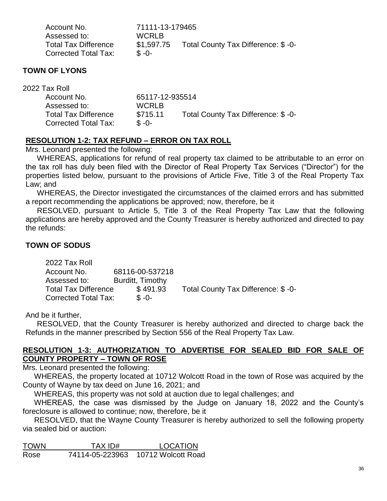| Account No.                 | 71111-13-179465 |                                    |
|-----------------------------|-----------------|------------------------------------|
| Assessed to:                | <b>WCRLB</b>    |                                    |
| <b>Total Tax Difference</b> | \$1,597.75      | Total County Tax Difference: \$-0- |
| Corrected Total Tax:        | $S - 0$         |                                    |

# **TOWN OF LYONS**

| 65117-12-935514 |                                    |
|-----------------|------------------------------------|
| <b>WCRLB</b>    |                                    |
| \$715.11        | Total County Tax Difference: \$-0- |
| $$ -0-$         |                                    |
|                 |                                    |

# **RESOLUTION 1-2: TAX REFUND – ERROR ON TAX ROLL**

Mrs. Leonard presented the following:

WHEREAS, applications for refund of real property tax claimed to be attributable to an error on the tax roll has duly been filed with the Director of Real Property Tax Services ("Director") for the properties listed below, pursuant to the provisions of Article Five, Title 3 of the Real Property Tax Law; and

WHEREAS, the Director investigated the circumstances of the claimed errors and has submitted a report recommending the applications be approved; now, therefore, be it

RESOLVED, pursuant to Article 5, Title 3 of the Real Property Tax Law that the following applications are hereby approved and the County Treasurer is hereby authorized and directed to pay the refunds:

# **TOWN OF SODUS**

| 2022 Tax Roll               |                  |                                    |
|-----------------------------|------------------|------------------------------------|
| Account No.                 | 68116-00-537218  |                                    |
| Assessed to:                | Burditt, Timothy |                                    |
| <b>Total Tax Difference</b> | \$491.93         | Total County Tax Difference: \$-0- |
| Corrected Total Tax:        | $$ -0-$          |                                    |

And be it further,

RESOLVED, that the County Treasurer is hereby authorized and directed to charge back the Refunds in the manner prescribed by Section 556 of the Real Property Tax Law.

#### **RESOLUTION 1-3: AUTHORIZATION TO ADVERTISE FOR SEALED BID FOR SALE OF COUNTY PROPERTY – TOWN OF ROSE**

Mrs. Leonard presented the following:

WHEREAS, the property located at 10712 Wolcott Road in the town of Rose was acquired by the County of Wayne by tax deed on June 16, 2021; and

WHEREAS, this property was not sold at auction due to legal challenges; and

WHEREAS, the case was dismissed by the Judge on January 18, 2022 and the County's foreclosure is allowed to continue; now, therefore, be it

RESOLVED, that the Wayne County Treasurer is hereby authorized to sell the following property via sealed bid or auction:

| <b>TOWN</b> | TAX ID#         | <b>LOCATION</b>    |
|-------------|-----------------|--------------------|
| Rose        | 74114-05-223963 | 10712 Wolcott Road |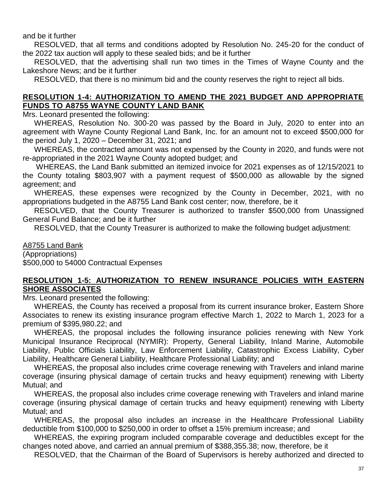and be it further

RESOLVED, that all terms and conditions adopted by Resolution No. 245-20 for the conduct of the 2022 tax auction will apply to these sealed bids; and be it further

RESOLVED, that the advertising shall run two times in the Times of Wayne County and the Lakeshore News; and be it further

RESOLVED, that there is no minimum bid and the county reserves the right to reject all bids.

#### **RESOLUTION 1-4: AUTHORIZATION TO AMEND THE 2021 BUDGET AND APPROPRIATE FUNDS TO A8755 WAYNE COUNTY LAND BANK**

Mrs. Leonard presented the following:

WHEREAS, Resolution No. 300-20 was passed by the Board in July, 2020 to enter into an agreement with Wayne County Regional Land Bank, Inc. for an amount not to exceed \$500,000 for the period July 1, 2020 – December 31, 2021; and

WHEREAS, the contracted amount was not expensed by the County in 2020, and funds were not re-appropriated in the 2021 Wayne County adopted budget; and

WHEREAS, the Land Bank submitted an itemized invoice for 2021 expenses as of 12/15/2021 to the County totaling \$803,907 with a payment request of \$500,000 as allowable by the signed agreement; and

WHEREAS, these expenses were recognized by the County in December, 2021, with no appropriations budgeted in the A8755 Land Bank cost center; now, therefore, be it

RESOLVED, that the County Treasurer is authorized to transfer \$500,000 from Unassigned General Fund Balance; and be it further

RESOLVED, that the County Treasurer is authorized to make the following budget adjustment:

A8755 Land Bank (Appropriations) \$500,000 to 54000 Contractual Expenses

# **RESOLUTION 1-5: AUTHORIZATION TO RENEW INSURANCE POLICIES WITH EASTERN SHORE ASSOCIATES**

Mrs. Leonard presented the following:

WHEREAS, the County has received a proposal from its current insurance broker, Eastern Shore Associates to renew its existing insurance program effective March 1, 2022 to March 1, 2023 for a premium of \$395,980.22; and

WHEREAS, the proposal includes the following insurance policies renewing with New York Municipal Insurance Reciprocal (NYMIR): Property, General Liability, Inland Marine, Automobile Liability, Public Officials Liability, Law Enforcement Liability, Catastrophic Excess Liability, Cyber Liability, Healthcare General Liability, Healthcare Professional Liability; and

WHEREAS, the proposal also includes crime coverage renewing with Travelers and inland marine coverage (insuring physical damage of certain trucks and heavy equipment) renewing with Liberty Mutual; and

WHEREAS, the proposal also includes crime coverage renewing with Travelers and inland marine coverage (insuring physical damage of certain trucks and heavy equipment) renewing with Liberty Mutual; and

WHEREAS, the proposal also includes an increase in the Healthcare Professional Liability deductible from \$100,000 to \$250,000 in order to offset a 15% premium increase; and

WHEREAS, the expiring program included comparable coverage and deductibles except for the changes noted above, and carried an annual premium of \$388,355.38; now, therefore, be it

RESOLVED, that the Chairman of the Board of Supervisors is hereby authorized and directed to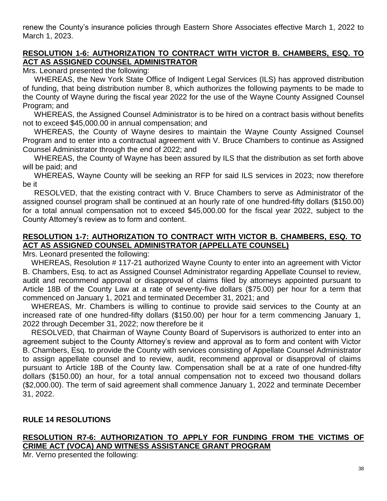renew the County's insurance policies through Eastern Shore Associates effective March 1, 2022 to March 1, 2023.

# **RESOLUTION 1-6: AUTHORIZATION TO CONTRACT WITH VICTOR B. CHAMBERS, ESQ. TO ACT AS ASSIGNED COUNSEL ADMINISTRATOR**

Mrs. Leonard presented the following:

WHEREAS, the New York State Office of Indigent Legal Services (ILS) has approved distribution of funding, that being distribution number 8, which authorizes the following payments to be made to the County of Wayne during the fiscal year 2022 for the use of the Wayne County Assigned Counsel Program; and

WHEREAS, the Assigned Counsel Administrator is to be hired on a contract basis without benefits not to exceed \$45,000.00 in annual compensation; and

WHEREAS, the County of Wayne desires to maintain the Wayne County Assigned Counsel Program and to enter into a contractual agreement with V. Bruce Chambers to continue as Assigned Counsel Administrator through the end of 2022; and

WHEREAS, the County of Wayne has been assured by ILS that the distribution as set forth above will be paid; and

WHEREAS, Wayne County will be seeking an RFP for said ILS services in 2023; now therefore be it

RESOLVED, that the existing contract with V. Bruce Chambers to serve as Administrator of the assigned counsel program shall be continued at an hourly rate of one hundred-fifty dollars (\$150.00) for a total annual compensation not to exceed \$45,000.00 for the fiscal year 2022, subject to the County Attorney's review as to form and content.

# **RESOLUTION 1-7: AUTHORIZATION TO CONTRACT WITH VICTOR B. CHAMBERS, ESQ. TO ACT AS ASSIGNED COUNSEL ADMINISTRATOR (APPELLATE COUNSEL)**

Mrs. Leonard presented the following:

WHEREAS, Resolution # 117-21 authorized Wayne County to enter into an agreement with Victor B. Chambers, Esq. to act as Assigned Counsel Administrator regarding Appellate Counsel to review, audit and recommend approval or disapproval of claims filed by attorneys appointed pursuant to Article 18B of the County Law at a rate of seventy-five dollars (\$75.00) per hour for a term that commenced on January 1, 2021 and terminated December 31, 2021; and

WHEREAS, Mr. Chambers is willing to continue to provide said services to the County at an increased rate of one hundred-fifty dollars (\$150.00) per hour for a term commencing January 1, 2022 through December 31, 2022; now therefore be it

RESOLVED, that Chairman of Wayne County Board of Supervisors is authorized to enter into an agreement subject to the County Attorney's review and approval as to form and content with Victor B. Chambers, Esq. to provide the County with services consisting of Appellate Counsel Administrator to assign appellate counsel and to review, audit, recommend approval or disapproval of claims pursuant to Article 18B of the County law. Compensation shall be at a rate of one hundred-fifty dollars (\$150.00) an hour, for a total annual compensation not to exceed two thousand dollars (\$2,000.00). The term of said agreement shall commence January 1, 2022 and terminate December 31, 2022.

# **RULE 14 RESOLUTIONS**

#### **RESOLUTION R7-6: AUTHORIZATION TO APPLY FOR FUNDING FROM THE VICTIMS OF CRIME ACT (VOCA) AND WITNESS ASSISTANCE GRANT PROGRAM**

Mr. Verno presented the following: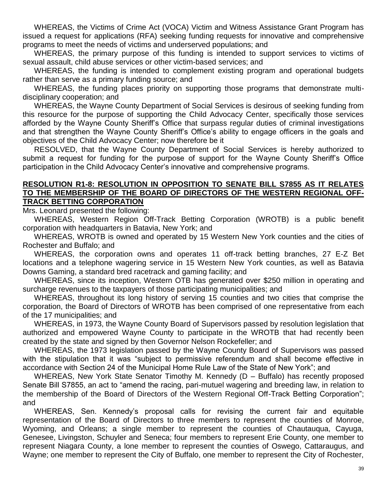WHEREAS, the Victims of Crime Act (VOCA) Victim and Witness Assistance Grant Program has issued a request for applications (RFA) seeking funding requests for innovative and comprehensive programs to meet the needs of victims and underserved populations; and

WHEREAS, the primary purpose of this funding is intended to support services to victims of sexual assault, child abuse services or other victim-based services; and

WHEREAS, the funding is intended to complement existing program and operational budgets rather than serve as a primary funding source; and

WHEREAS, the funding places priority on supporting those programs that demonstrate multidisciplinary cooperation; and

WHEREAS, the Wayne County Department of Social Services is desirous of seeking funding from this resource for the purpose of supporting the Child Advocacy Center, specifically those services afforded by the Wayne County Sheriff's Office that surpass regular duties of criminal investigations and that strengthen the Wayne County Sheriff's Office's ability to engage officers in the goals and objectives of the Child Advocacy Center; now therefore be it

RESOLVED, that the Wayne County Department of Social Services is hereby authorized to submit a request for funding for the purpose of support for the Wayne County Sheriff's Office participation in the Child Advocacy Center's innovative and comprehensive programs.

#### **RESOLUTION R1-8: RESOLUTION IN OPPOSITION TO SENATE BILL S7855 AS IT RELATES TO THE MEMBERSHIP OF THE BOARD OF DIRECTORS OF THE WESTERN REGIONAL OFF-TRACK BETTING CORPORATION**

Mrs. Leonard presented the following:

WHEREAS, Western Region Off-Track Betting Corporation (WROTB) is a public benefit corporation with headquarters in Batavia, New York; and

WHEREAS, WROTB is owned and operated by 15 Western New York counties and the cities of Rochester and Buffalo; and

WHEREAS, the corporation owns and operates 11 off-track betting branches, 27 E-Z Bet locations and a telephone wagering service in 15 Western New York counties, as well as Batavia Downs Gaming, a standard bred racetrack and gaming facility; and

WHEREAS, since its inception, Western OTB has generated over \$250 million in operating and surcharge revenues to the taxpayers of those participating municipalities; and

WHEREAS, throughout its long history of serving 15 counties and two cities that comprise the corporation, the Board of Directors of WROTB has been comprised of one representative from each of the 17 municipalities; and

WHEREAS, in 1973, the Wayne County Board of Supervisors passed by resolution legislation that authorized and empowered Wayne County to participate in the WROTB that had recently been created by the state and signed by then Governor Nelson Rockefeller; and

WHEREAS, the 1973 legislation passed by the Wayne County Board of Supervisors was passed with the stipulation that it was "subject to permissive referendum and shall become effective in accordance with Section 24 of the Municipal Home Rule Law of the State of New York"; and

WHEREAS, New York State Senator Timothy M. Kennedy (D – Buffalo) has recently proposed Senate Bill S7855, an act to "amend the racing, pari-mutuel wagering and breeding law, in relation to the membership of the Board of Directors of the Western Regional Off-Track Betting Corporation"; and

WHEREAS, Sen. Kennedy's proposal calls for revising the current fair and equitable representation of the Board of Directors to three members to represent the counties of Monroe, Wyoming, and Orleans; a single member to represent the counties of Chautauqua, Cayuga, Genesee, Livingston, Schuyler and Seneca; four members to represent Erie County, one member to represent Niagara County, a lone member to represent the counties of Oswego, Cattaraugus, and Wayne; one member to represent the City of Buffalo, one member to represent the City of Rochester,